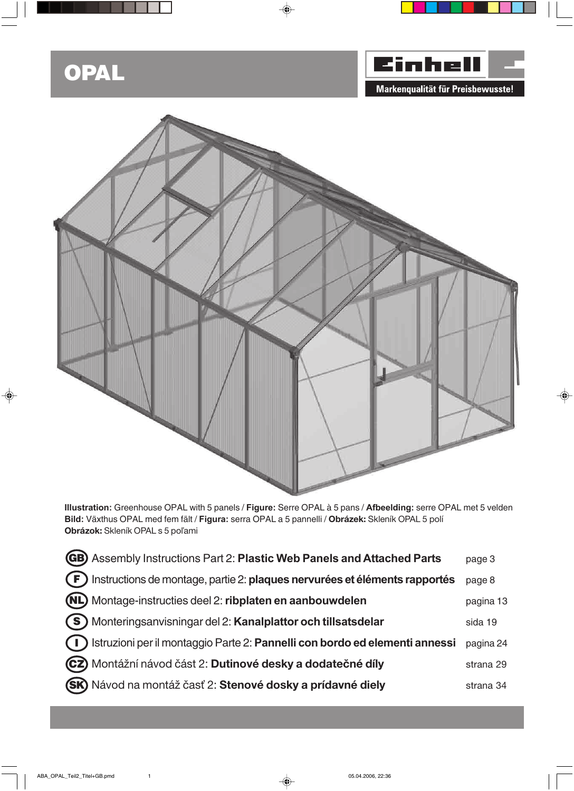# **OPAL**



 $\color{red}\blacklozenge$ 



 $\bigcirc \hspace{-1.4mm} \bigcirc$ 

**Illustration:** Greenhouse OPAL with 5 panels / **Figure:** Serre OPAL à 5 pans / **Afbeelding:** serre OPAL met 5 velden **Bild:** Växthus OPAL med fem fält / **Figura:** serra OPAL a 5 pannelli / **Obrázek:** Skleník OPAL 5 polí **Obrázok:** Skleník OPAL s 5 poľami

| <b>GB</b> ) Assembly Instructions Part 2: Plastic Web Panels and Attached Parts | page 3    |
|---------------------------------------------------------------------------------|-----------|
| (F) Instructions de montage, partie 2: plaques nervurées et éléments rapportés  | page 8    |
| <b>(NL)</b> Montage-instructies deel 2: ribplaten en aanbouwdelen               | pagina 13 |
| (S) Monteringsanvisningar del 2: Kanalplattor och tillsatsdelar                 | sida 19   |
| (1) Istruzioni per il montaggio Parte 2: Pannelli con bordo ed elementi annessi | pagina 24 |
| (cz) Montážní návod část 2: Dutinové desky a dodatečné díly                     | strana 29 |
| (SK) Návod na montáž časť 2: Stenové dosky a prídavné diely                     | strana 34 |
|                                                                                 |           |

 $\overline{\blacklozenge}$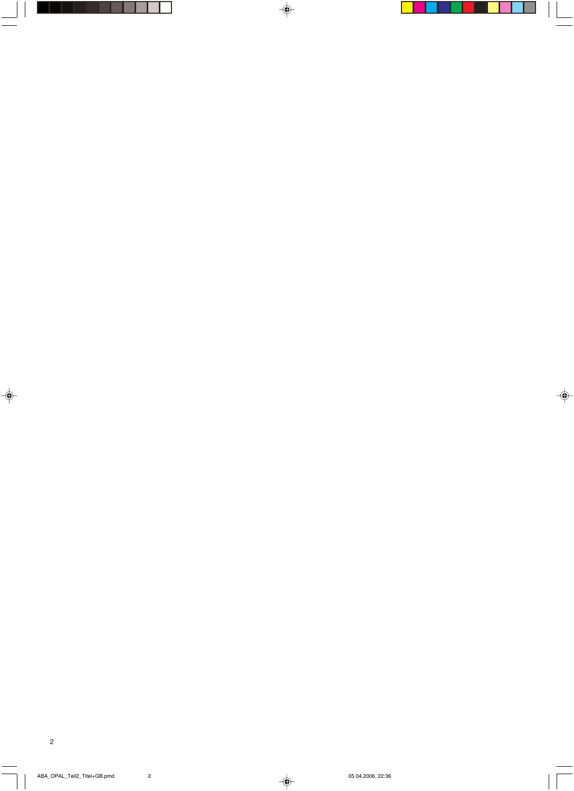2

 $\spadesuit$ 

<u> Tanzania de la provincia de la provincia de la provincia de la provincia de la provincia de la provincia de la</u>

 $\Box$ 

 $\Rightarrow$ 

<u> Titli</u>

-1 ×  $\spadesuit$ 

 $\sqrt{2}$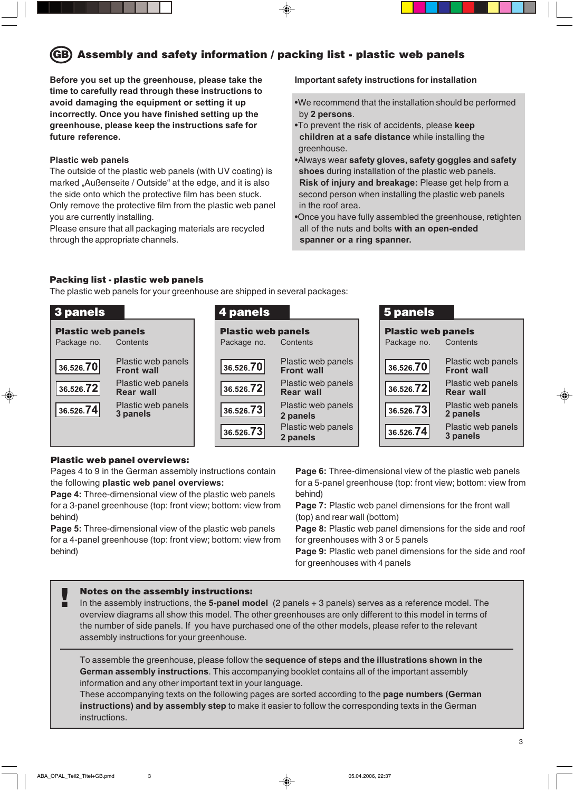#### **Assembly and safety information / packing list - plastic web panels** GB

**Before you set up the greenhouse, please take the time to carefully read through these instructions to avoid damaging the equipment or setting it up incorrectly. Once you have finished setting up the greenhouse, please keep the instructions safe for future reference.**

#### **Plastic web panels**

The outside of the plastic web panels (with UV coating) is marked "Außenseite / Outside" at the edge, and it is also the side onto which the protective film has been stuck. Only remove the protective film from the plastic web panel you are currently installing.

Please ensure that all packaging materials are recycled through the appropriate channels.

**Important safety instructions for installation**

- •We recommend that the installation should be performed by **2 persons**.
- •To prevent the risk of accidents, please **keep children at a safe distance** while installing the greenhouse.
- •Always wear **safety gloves, safety goggles and safety shoes** during installation of the plastic web panels. **Risk of injury and breakage:** Please get help from a second person when installing the plastic web panels in the roof area.
- •Once you have fully assembled the greenhouse, retighten all of the nuts and bolts **with an open-ended spanner or a ring spanner.**

## **Packing list - plastic web panels**

The plastic web panels for your greenhouse are shipped in several packages:



## **Plastic web panel overviews:**

⊕

Pages 4 to 9 in the German assembly instructions contain the following **plastic web panel overviews:**

**Page 4:** Three-dimensional view of the plastic web panels for a 3-panel greenhouse (top: front view; bottom: view from behind)

**Page 5:** Three-dimensional view of the plastic web panels for a 4-panel greenhouse (top: front view; bottom: view from behind)

**Page 6:** Three-dimensional view of the plastic web panels for a 5-panel greenhouse (top: front view; bottom: view from behind)

Page 7: Plastic web panel dimensions for the front wall (top) and rear wall (bottom)

Page 8: Plastic web panel dimensions for the side and roof for greenhouses with 3 or 5 panels

**Page 9:** Plastic web panel dimensions for the side and roof for greenhouses with 4 panels

#### **Notes on the assembly instructions:**

In the assembly instructions, the **5-panel model** (2 panels + 3 panels) serves as a reference model. The overview diagrams all show this model. The other greenhouses are only different to this model in terms of the number of side panels. If you have purchased one of the other models, please refer to the relevant assembly instructions for your greenhouse. !

To assemble the greenhouse, please follow the **sequence of steps and the illustrations shown in the German assembly instructions**. This accompanying booklet contains all of the important assembly information and any other important text in your language.

These accompanying texts on the following pages are sorted according to the **page numbers (German instructions) and by assembly step** to make it easier to follow the corresponding texts in the German instructions.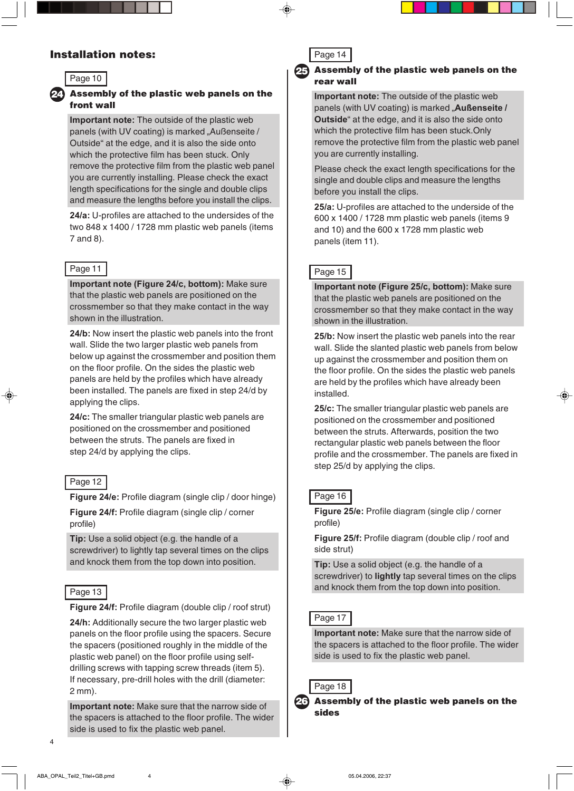## **Installation notes:**



#### **Assembly of the plastic web panels on the front wall** 24

**Important note:** The outside of the plastic web panels (with UV coating) is marked "Außenseite / Outside" at the edge, and it is also the side onto which the protective film has been stuck. Only remove the protective film from the plastic web panel you are currently installing. Please check the exact length specifications for the single and double clips and measure the lengths before you install the clips.

**24/a:** U-profiles are attached to the undersides of the two 848 x 1400 / 1728 mm plastic web panels (items 7 and 8).

## Page 11

**Important note (Figure 24/c, bottom):** Make sure that the plastic web panels are positioned on the crossmember so that they make contact in the way shown in the illustration.

**24/b:** Now insert the plastic web panels into the front wall. Slide the two larger plastic web panels from below up against the crossmember and position them on the floor profile. On the sides the plastic web panels are held by the profiles which have already been installed. The panels are fixed in step 24/d by applying the clips.

**24/c:** The smaller triangular plastic web panels are positioned on the crossmember and positioned between the struts. The panels are fixed in step 24/d by applying the clips.

## Page 12

**Figure 24/e:** Profile diagram (single clip / door hinge)

**Figure 24/f:** Profile diagram (single clip / corner profile)

**Tip:** Use a solid object (e.g. the handle of a screwdriver) to lightly tap several times on the clips and knock them from the top down into position.

## Page 13

Figure 24/f: Profile diagram (double clip / roof strut)

**24/h:** Additionally secure the two larger plastic web panels on the floor profile using the spacers. Secure the spacers (positioned roughly in the middle of the plastic web panel) on the floor profile using selfdrilling screws with tapping screw threads (item 5). If necessary, pre-drill holes with the drill (diameter: 2 mm).

**Important note:** Make sure that the narrow side of the spacers is attached to the floor profile. The wider side is used to fix the plastic web panel.

|--|--|--|

#### **Assembly of the plastic web panels on the rear wall** 25

**Important note:** The outside of the plastic web panels (with UV coating) is marked **"Außenseite / Outside**" at the edge, and it is also the side onto which the protective film has been stuck.Only remove the protective film from the plastic web panel you are currently installing.

Please check the exact length specifications for the single and double clips and measure the lengths before you install the clips.

**25/a:** U-profiles are attached to the underside of the 600 x 1400 / 1728 mm plastic web panels (items 9 and 10) and the 600 x 1728 mm plastic web panels (item 11).

## Page 15

**Important note (Figure 25/c, bottom):** Make sure that the plastic web panels are positioned on the crossmember so that they make contact in the way shown in the illustration.

**25/b:** Now insert the plastic web panels into the rear wall. Slide the slanted plastic web panels from below up against the crossmember and position them on the floor profile. On the sides the plastic web panels are held by the profiles which have already been installed.

**25/c:** The smaller triangular plastic web panels are positioned on the crossmember and positioned between the struts. Afterwards, position the two rectangular plastic web panels between the floor profile and the crossmember. The panels are fixed in step 25/d by applying the clips.

## Page 16

**Figure 25/e:** Profile diagram (single clip / corner profile)

Figure 25/f: Profile diagram (double clip / roof and side strut)

**Tip:** Use a solid object (e.g. the handle of a screwdriver) to **lightly** tap several times on the clips and knock them from the top down into position.

## Page 17

**Important note:** Make sure that the narrow side of the spacers is attached to the floor profile. The wider side is used to fix the plastic web panel.



**Assembly of the plastic web panels on the sides** 26

4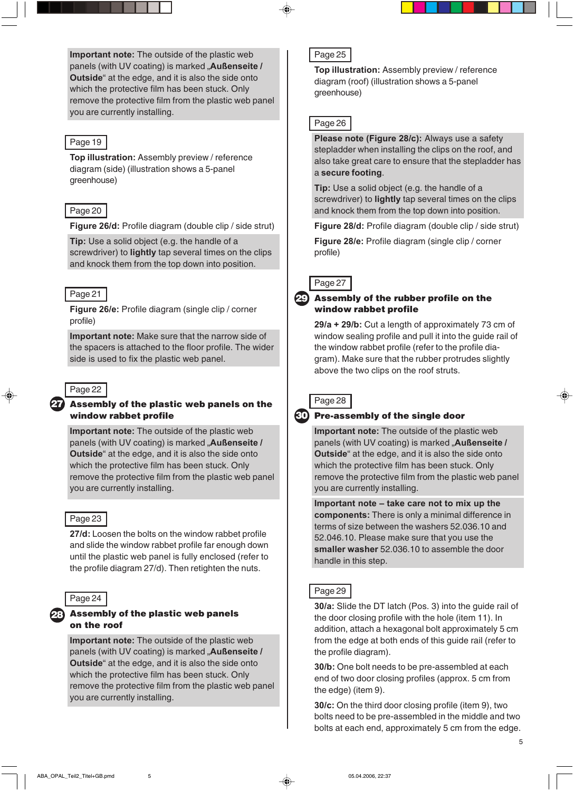**Important note:** The outside of the plastic web panels (with UV coating) is marked "Außenseite / **Outside**" at the edge, and it is also the side onto which the protective film has been stuck. Only remove the protective film from the plastic web panel you are currently installing.

## Page 19

**Top illustration:** Assembly preview / reference diagram (side) (illustration shows a 5-panel greenhouse)

## Page 20

Figure 26/d: Profile diagram (double clip / side strut)

**Tip:** Use a solid object (e.g. the handle of a screwdriver) to **lightly** tap several times on the clips and knock them from the top down into position.

## Page 21

**Figure 26/e:** Profile diagram (single clip / corner profile)

**Important note:** Make sure that the narrow side of the spacers is attached to the floor profile. The wider side is used to fix the plastic web panel.

## Page 22

## 27 **Assembly of the plastic web panels on the window rabbet profile**

**Important note:** The outside of the plastic web panels (with UV coating) is marked "Außenseite / **Outside**" at the edge, and it is also the side onto which the protective film has been stuck. Only remove the protective film from the plastic web panel you are currently installing.

## Page 23

**27/d:** Loosen the bolts on the window rabbet profile and slide the window rabbet profile far enough down until the plastic web panel is fully enclosed (refer to the profile diagram 27/d). Then retighten the nuts.

#### Page 24

#### 28 **Assembly of the plastic web panels on the roof**

**Important note:** The outside of the plastic web panels (with UV coating) is marked "Außenseite / **Outside**" at the edge, and it is also the side onto which the protective film has been stuck. Only remove the protective film from the plastic web panel you are currently installing.

## Page 25

**Top illustration:** Assembly preview / reference diagram (roof) (illustration shows a 5-panel greenhouse)

## Page 26

**Please note (Figure 28/c):** Always use a safety stepladder when installing the clips on the roof, and also take great care to ensure that the stepladder has a **secure footing**.

**Tip:** Use a solid object (e.g. the handle of a screwdriver) to **lightly** tap several times on the clips and knock them from the top down into position.

Figure 28/d: Profile diagram (double clip / side strut)

**Figure 28/e:** Profile diagram (single clip / corner profile)



29

## **Assembly of the rubber profile on the window rabbet profile**

**29/a + 29/b:** Cut a length of approximately 73 cm of window sealing profile and pull it into the guide rail of the window rabbet profile (refer to the profile diagram). Make sure that the rubber protrudes slightly above the two clips on the roof struts.



#### 30 **Pre-assembly of the single door**

**Important note:** The outside of the plastic web panels (with UV coating) is marked "**Außenseite / Outside**" at the edge, and it is also the side onto which the protective film has been stuck. Only remove the protective film from the plastic web panel you are currently installing.

**Important note – take care not to mix up the components:** There is only a minimal difference in terms of size between the washers 52.036.10 and 52.046.10. Please make sure that you use the **smaller washer** 52.036.10 to assemble the door handle in this step.

## Page 29

**30/a:** Slide the DT latch (Pos. 3) into the guide rail of the door closing profile with the hole (item 11). In addition, attach a hexagonal bolt approximately 5 cm from the edge at both ends of this guide rail (refer to the profile diagram).

**30/b:** One bolt needs to be pre-assembled at each end of two door closing profiles (approx. 5 cm from the edge) (item 9).

**30/c:** On the third door closing profile (item 9), two bolts need to be pre-assembled in the middle and two bolts at each end, approximately 5 cm from the edge.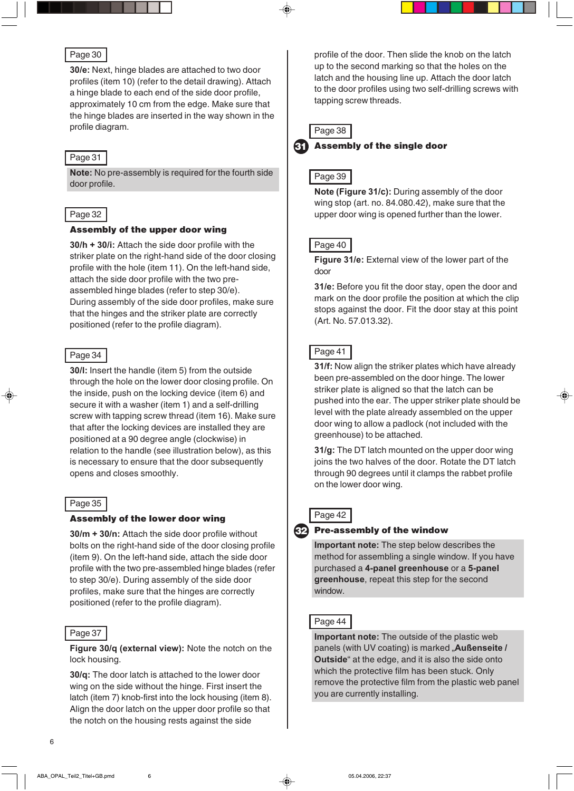#### Page 30

**30/e:** Next, hinge blades are attached to two door profiles (item 10) (refer to the detail drawing). Attach a hinge blade to each end of the side door profile, approximately 10 cm from the edge. Make sure that the hinge blades are inserted in the way shown in the profile diagram.

## Page 31

**Note:** No pre-assembly is required for the fourth side door profile.

## Page 32

#### **Assembly of the upper door wing**

**30/h + 30/i:** Attach the side door profile with the striker plate on the right-hand side of the door closing profile with the hole (item 11). On the left-hand side, attach the side door profile with the two preassembled hinge blades (refer to step 30/e). During assembly of the side door profiles, make sure that the hinges and the striker plate are correctly positioned (refer to the profile diagram).

## Page 34

**30/l:** Insert the handle (item 5) from the outside through the hole on the lower door closing profile. On the inside, push on the locking device (item 6) and secure it with a washer (item 1) and a self-drilling screw with tapping screw thread (item 16). Make sure that after the locking devices are installed they are positioned at a 90 degree angle (clockwise) in relation to the handle (see illustration below), as this is necessary to ensure that the door subsequently opens and closes smoothly.

## Page 35

#### **Assembly of the lower door wing**

**30/m + 30/n:** Attach the side door profile without bolts on the right-hand side of the door closing profile (item 9). On the left-hand side, attach the side door profile with the two pre-assembled hinge blades (refer to step 30/e). During assembly of the side door profiles, make sure that the hinges are correctly positioned (refer to the profile diagram).

#### Page 37

**Figure 30/q (external view):** Note the notch on the lock housing.

**30/q:** The door latch is attached to the lower door wing on the side without the hinge. First insert the latch (item 7) knob-first into the lock housing (item 8). Align the door latch on the upper door profile so that the notch on the housing rests against the side

profile of the door. Then slide the knob on the latch up to the second marking so that the holes on the latch and the housing line up. Attach the door latch to the door profiles using two self-drilling screws with tapping screw threads.



31



## Page 39

**Note (Figure 31/c):** During assembly of the door wing stop (art. no. 84.080.42), make sure that the upper door wing is opened further than the lower.

## Page 40

**Figure 31/e:** External view of the lower part of the door

**31/e:** Before you fit the door stay, open the door and mark on the door profile the position at which the clip stops against the door. Fit the door stay at this point (Art. No. 57.013.32).

## Page 41

**31/f:** Now align the striker plates which have already been pre-assembled on the door hinge. The lower striker plate is aligned so that the latch can be pushed into the ear. The upper striker plate should be level with the plate already assembled on the upper door wing to allow a padlock (not included with the greenhouse) to be attached.

**31/g:** The DT latch mounted on the upper door wing joins the two halves of the door. Rotate the DT latch through 90 degrees until it clamps the rabbet profile on the lower door wing.

## Page 42

62

#### **Pre-assembly of the window**

**Important note:** The step below describes the method for assembling a single window. If you have purchased a **4-panel greenhouse** or a **5-panel greenhouse**, repeat this step for the second window.

#### Page 44

**Important note:** The outside of the plastic web panels (with UV coating) is marked "**Außenseite / Outside**" at the edge, and it is also the side onto which the protective film has been stuck. Only remove the protective film from the plastic web panel you are currently installing.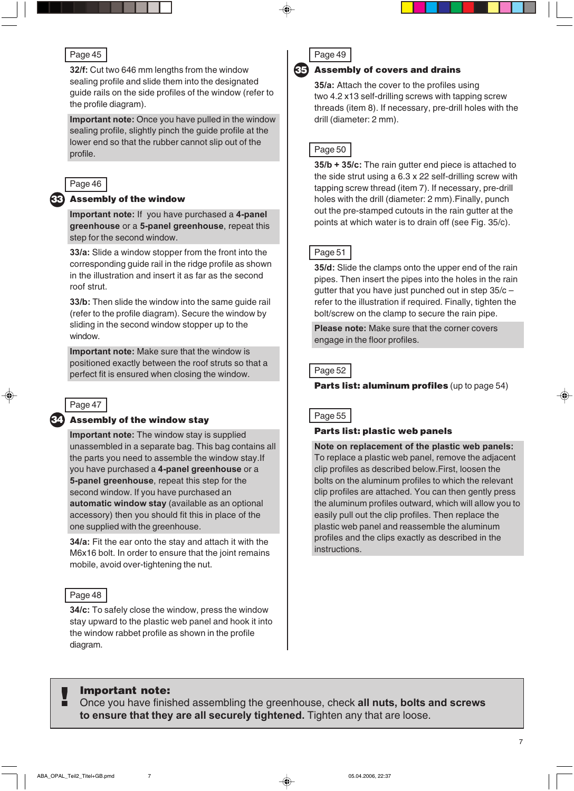### Page 45

**32/f:** Cut two 646 mm lengths from the window sealing profile and slide them into the designated guide rails on the side profiles of the window (refer to the profile diagram).

**Important note:** Once you have pulled in the window sealing profile, slightly pinch the guide profile at the lower end so that the rubber cannot slip out of the profile.

## Page 46

33

#### **Assembly of the window**

**Important note:** If you have purchased a **4-panel greenhouse** or a **5-panel greenhouse**, repeat this step for the second window.

**33/a:** Slide a window stopper from the front into the corresponding guide rail in the ridge profile as shown in the illustration and insert it as far as the second roof strut.

**33/b:** Then slide the window into the same guide rail (refer to the profile diagram). Secure the window by sliding in the second window stopper up to the window.

**Important note:** Make sure that the window is positioned exactly between the roof struts so that a perfect fit is ensured when closing the window.

|--|

⊕

## 34 **Assembly of the window stay**

**Important note:** The window stay is supplied unassembled in a separate bag. This bag contains all the parts you need to assemble the window stay.If you have purchased a **4-panel greenhouse** or a **5-panel greenhouse**, repeat this step for the second window. If you have purchased an **automatic window stay** (available as an optional accessory) then you should fit this in place of the one supplied with the greenhouse.

**34/a:** Fit the ear onto the stay and attach it with the M6x16 bolt. In order to ensure that the joint remains mobile, avoid over-tightening the nut.

## Page 48

**34/c:** To safely close the window, press the window stay upward to the plastic web panel and hook it into the window rabbet profile as shown in the profile diagram.

## 35 **Assembly of covers and drains**

**35/a:** Attach the cover to the profiles using two 4.2 x13 self-drilling screws with tapping screw threads (item 8). If necessary, pre-drill holes with the drill (diameter: 2 mm).

## Page 50

**35/b + 35/c:** The rain gutter end piece is attached to the side strut using a 6.3 x 22 self-drilling screw with tapping screw thread (item 7). If necessary, pre-drill holes with the drill (diameter: 2 mm).Finally, punch out the pre-stamped cutouts in the rain gutter at the points at which water is to drain off (see Fig. 35/c).

## Page 51

**35/d:** Slide the clamps onto the upper end of the rain pipes. Then insert the pipes into the holes in the rain gutter that you have just punched out in step 35/c – refer to the illustration if required. Finally, tighten the bolt/screw on the clamp to secure the rain pipe.

**Please note:** Make sure that the corner covers engage in the floor profiles.

## Page 52

**Parts list: aluminum profiles** (up to page 54)

## Page 55

### **Parts list: plastic web panels**

**Note on replacement of the plastic web panels:** To replace a plastic web panel, remove the adjacent clip profiles as described below.First, loosen the bolts on the aluminum profiles to which the relevant clip profiles are attached. You can then gently press the aluminum profiles outward, which will allow you to easily pull out the clip profiles. Then replace the plastic web panel and reassemble the aluminum profiles and the clips exactly as described in the instructions.

## **Important note:**

Once you have finished assembling the greenhouse, check **all nuts, bolts and screws to ensure that they are all securely tightened.** Tighten any that are loose. !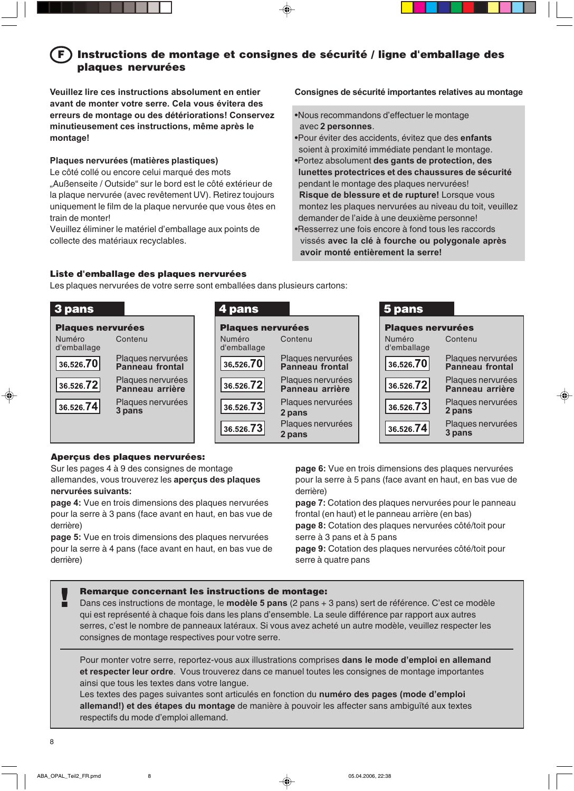#### **Instructions de montage et consignes de sécurité / ligne d'emballage des plaques nervurées** F

**Veuillez lire ces instructions absolument en entier avant de monter votre serre. Cela vous évitera des erreurs de montage ou des détériorations! Conservez minutieusement ces instructions, même après le montage!**

#### **Plaques nervurées (matières plastiques)**

Le côté collé ou encore celui marqué des mots "Außenseite / Outside" sur le bord est le côté extérieur de la plaque nervurée (avec revêtement UV). Retirez toujours uniquement le film de la plaque nervurée que vous êtes en train de monter!

Veuillez éliminer le matériel d'emballage aux points de collecte des matériaux recyclables.

#### **Consignes de sécurité importantes relatives au montage**

- •Nous recommandons d'effectuer le montage avec **2 personnes**.
- •Pour éviter des accidents, évitez que des **enfants** soient à proximité immédiate pendant le montage.
- •Portez absolument **des gants de protection, des lunettes protectrices et des chaussures de sécurité** pendant le montage des plaques nervurées! **Risque de blessure et de rupture!** Lorsque vous montez les plaques nervurées au niveau du toit, veuillez demander de l'aide à une deuxième personne!
- •Resserrez une fois encore à fond tous les raccords vissés **avec la clé à fourche ou polygonale après avoir monté entièrement la serre!**

## **Liste d'emballage des plaques nervurées**

Les plaques nervurées de votre serre sont emballées dans plusieurs cartons:



## **Aperçus des plaques nervurées:**

Sur les pages 4 à 9 des consignes de montage allemandes, vous trouverez les **aperçus des plaques nervurées suivants:**

**page 4:** Vue en trois dimensions des plaques nervurées pour la serre à 3 pans (face avant en haut, en bas vue de derrière)

**page 5:** Vue en trois dimensions des plaques nervurées pour la serre à 4 pans (face avant en haut, en bas vue de derrière)

**page 6:** Vue en trois dimensions des plaques nervurées pour la serre à 5 pans (face avant en haut, en bas vue de derrière)

**page 7:** Cotation des plaques nervurées pour le panneau frontal (en haut) et le panneau arrière (en bas)

**page 8:** Cotation des plaques nervurées côté/toit pour serre à 3 pans et à 5 pans

**page 9:** Cotation des plaques nervurées côté/toit pour serre à quatre pans



Pour monter votre serre, reportez-vous aux illustrations comprises **dans le mode d'emploi en allemand et respecter leur ordre**. Vous trouverez dans ce manuel toutes les consignes de montage importantes ainsi que tous les textes dans votre langue.

Les textes des pages suivantes sont articulés en fonction du **numéro des pages (mode d'emploi allemand!) et des étapes du montage** de manière à pouvoir les affecter sans ambiguïté aux textes respectifs du mode d'emploi allemand.

⊕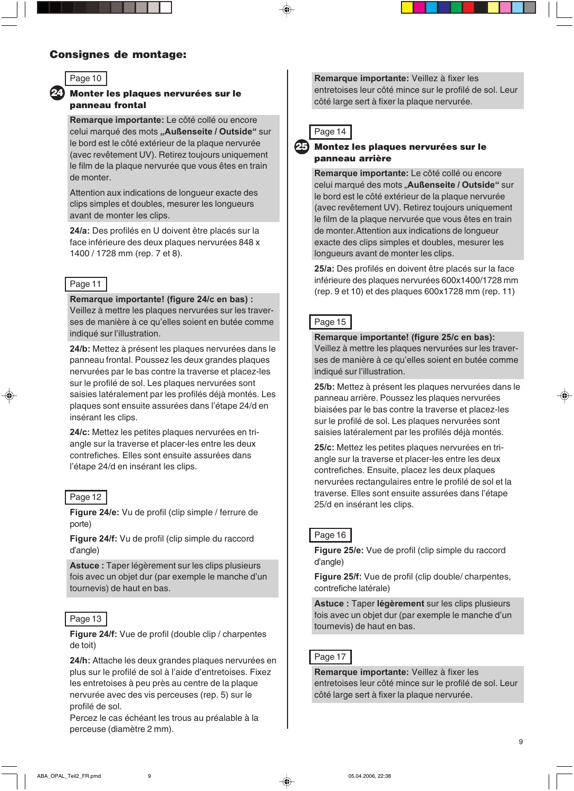## **Consignes de montage:**



## **Monter les plaques nervurées sur le panneau frontal**

**Remarque importante:** Le côté collé ou encore celui marqué des mots "Außenseite / Outside" sur le bord est le côté extérieur de la plaque nervurée (avec revêtement UV). Retirez toujours uniquement le film de la plaque nervurée que vous êtes en train de monter.

Attention aux indications de longueur exacte des clips simples et doubles, mesurer les longueurs avant de monter les clips.

**24/a:** Des profilés en U doivent être placés sur la face inférieure des deux plaques nervurées 848 x 1400 / 1728 mm (rep. 7 et 8).

## Page 11

**Remarque importante! (figure 24/c en bas) :** Veillez à mettre les plaques nervurées sur les traverses de manière à ce qu'elles soient en butée comme indiqué sur l'illustration.

**24/b:** Mettez à présent les plaques nervurées dans le panneau frontal. Poussez les deux grandes plaques nervurées par le bas contre la traverse et placez-les sur le profilé de sol. Les plaques nervurées sont saisies latéralement par les profilés déjà montés. Les plaques sont ensuite assurées dans l'étape 24/d en insérant les clips.

**24/c:** Mettez les petites plaques nervurées en triangle sur la traverse et placer-les entre les deux contrefiches. Elles sont ensuite assurées dans l'étape 24/d en insérant les clips.

#### Page 12

**Figure 24/e:** Vu de profil (clip simple / ferrure de porte)

**Figure 24/f:** Vu de profil (clip simple du raccord d'angle)

**Astuce :** Taper légèrement sur les clips plusieurs fois avec un objet dur (par exemple le manche d'un tournevis) de haut en bas.

## Page 13

Figure 24/f: Vue de profil (double clip / charpentes de toit)

**24/h:** Attache les deux grandes plaques nervurées en plus sur le profilé de sol à l'aide d'entretoises. Fixez les entretoises à peu près au centre de la plaque nervurée avec des vis perceuses (rep. 5) sur le profilé de sol.

Percez le cas échéant les trous au préalable à la perceuse (diamètre 2 mm).

**Remarque importante:** Veillez à fixer les entretoises leur côté mince sur le profilé de sol. Leur côté large sert à fixer la plaque nervurée.



#### **Montez les plaques nervurées sur le panneau arrière** 25

**Remarque importante:** Le côté collé ou encore celui marqué des mots "**Außenseite / Outside"** sur le bord est le côté extérieur de la plaque nervurée (avec revêtement UV). Retirez toujours uniquement le film de la plaque nervurée que vous êtes en train de monter.Attention aux indications de longueur exacte des clips simples et doubles, mesurer les longueurs avant de monter les clips.

**25/a:** Des profilés en doivent être placés sur la face inférieure des plaques nervurées 600x1400/1728 mm (rep. 9 et 10) et des plaques 600x1728 mm (rep. 11)

## Page 15

**Remarque importante! (figure 25/c en bas):** Veillez à mettre les plaques nervurées sur les traverses de manière à ce qu'elles soient en butée comme indiqué sur l'illustration.

**25/b:** Mettez à présent les plaques nervurées dans le panneau arrière. Poussez les plaques nervurées biaisées par le bas contre la traverse et placez-les sur le profilé de sol. Les plaques nervurées sont saisies latéralement par les profilés déjà montés.

**25/c:** Mettez les petites plaques nervurées en triangle sur la traverse et placer-les entre les deux contrefiches. Ensuite, placez les deux plaques nervurées rectangulaires entre le profilé de sol et la traverse. Elles sont ensuite assurées dans l'étape 25/d en insérant les clips.

## Page 16

**Figure 25/e:** Vue de profil (clip simple du raccord d'angle)

Figure 25/f: Vue de profil (clip double/ charpentes, contrefiche latérale)

**Astuce :** Taper **légèrement** sur les clips plusieurs fois avec un objet dur (par exemple le manche d'un tournevis) de haut en bas.

#### Page 17

**Remarque importante:** Veillez à fixer les entretoises leur côté mince sur le profilé de sol. Leur côté large sert à fixer la plaque nervurée.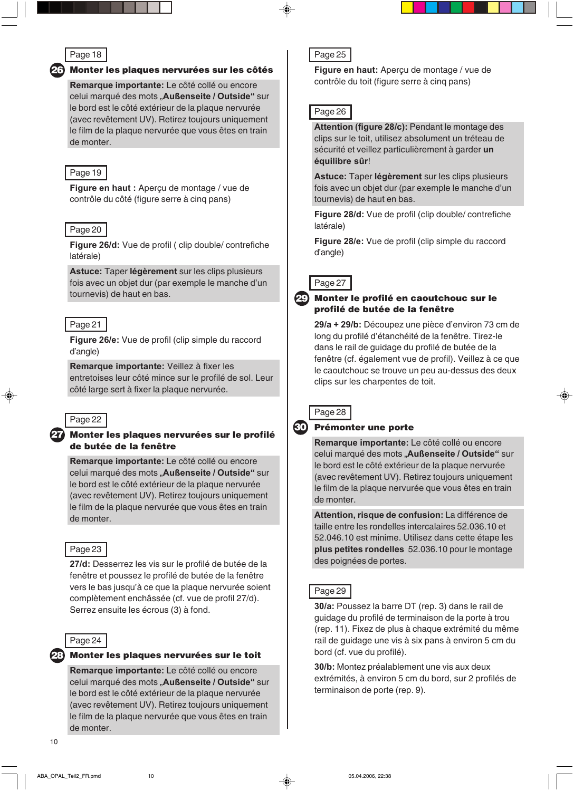## Page 18

26

#### **Monter les plaques nervurées sur les côtés**

**Remarque importante:** Le côté collé ou encore celui marqué des mots "**Außenseite / Outside"** sur le bord est le côté extérieur de la plaque nervurée (avec revêtement UV). Retirez toujours uniquement le film de la plaque nervurée que vous êtes en train de monter.

## Page 19

**Figure en haut :** Aperçu de montage / vue de contrôle du côté (figure serre à cinq pans)

## Page 20

**Figure 26/d:** Vue de profil ( clip double/ contrefiche latérale)

**Astuce:** Taper **légèrement** sur les clips plusieurs fois avec un objet dur (par exemple le manche d'un tournevis) de haut en bas.

## Page 21

**Figure 26/e:** Vue de profil (clip simple du raccord d'angle)

**Remarque importante:** Veillez à fixer les entretoises leur côté mince sur le profilé de sol. Leur côté large sert à fixer la plaque nervurée.



27

### **Monter les plaques nervurées sur le profilé de butée de la fenêtre**

**Remarque importante:** Le côté collé ou encore celui marqué des mots "**Außenseite / Outside"** sur le bord est le côté extérieur de la plaque nervurée (avec revêtement UV). Retirez toujours uniquement le film de la plaque nervurée que vous êtes en train de monter.

## Page 23

**27/d:** Desserrez les vis sur le profilé de butée de la fenêtre et poussez le profilé de butée de la fenêtre vers le bas jusqu'à ce que la plaque nervurée soient complètement enchâssée (cf. vue de profil 27/d). Serrez ensuite les écrous (3) à fond.

## Page 24

#### **Monter les plaques nervurées sur le toit** 28

**Remarque importante:** Le côté collé ou encore celui marqué des mots "**Außenseite / Outside"** sur le bord est le côté extérieur de la plaque nervurée (avec revêtement UV). Retirez toujours uniquement le film de la plaque nervurée que vous êtes en train de monter.

## Page 25

**Figure en haut:** Aperçu de montage / vue de contrôle du toit (figure serre à cinq pans)

## Page 26

**Attention (figure 28/c):** Pendant le montage des clips sur le toit, utilisez absolument un tréteau de sécurité et veillez particulièrement à garder **un équilibre sûr**!

**Astuce:** Taper **légèrement** sur les clips plusieurs fois avec un objet dur (par exemple le manche d'un tournevis) de haut en bas.

**Figure 28/d:** Vue de profil (clip double/ contrefiche latérale)

**Figure 28/e:** Vue de profil (clip simple du raccord d'angle)



## **Monter le profilé en caoutchouc sur le profilé de butée de la fenêtre**

**29/a + 29/b:** Découpez une pièce d'environ 73 cm de long du profilé d'étanchéité de la fenêtre. Tirez-le dans le rail de guidage du profilé de butée de la fenêtre (cf. également vue de profil). Veillez à ce que le caoutchouc se trouve un peu au-dessus des deux clips sur les charpentes de toit.



#### **Prémonter une porte**

**Remarque importante:** Le côté collé ou encore celui marqué des mots "**Außenseite / Outside"** sur le bord est le côté extérieur de la plaque nervurée (avec revêtement UV). Retirez toujours uniquement le film de la plaque nervurée que vous êtes en train de monter.

**Attention, risque de confusion:** La différence de taille entre les rondelles intercalaires 52.036.10 et 52.046.10 est minime. Utilisez dans cette étape les **plus petites rondelles** 52.036.10 pour le montage des poignées de portes.

#### Page 29

**30/a:** Poussez la barre DT (rep. 3) dans le rail de guidage du profilé de terminaison de la porte à trou (rep. 11). Fixez de plus à chaque extrémité du même rail de guidage une vis à six pans à environ 5 cm du bord (cf. vue du profilé).

**30/b:** Montez préalablement une vis aux deux extrémités, à environ 5 cm du bord, sur 2 profilés de terminaison de porte (rep. 9).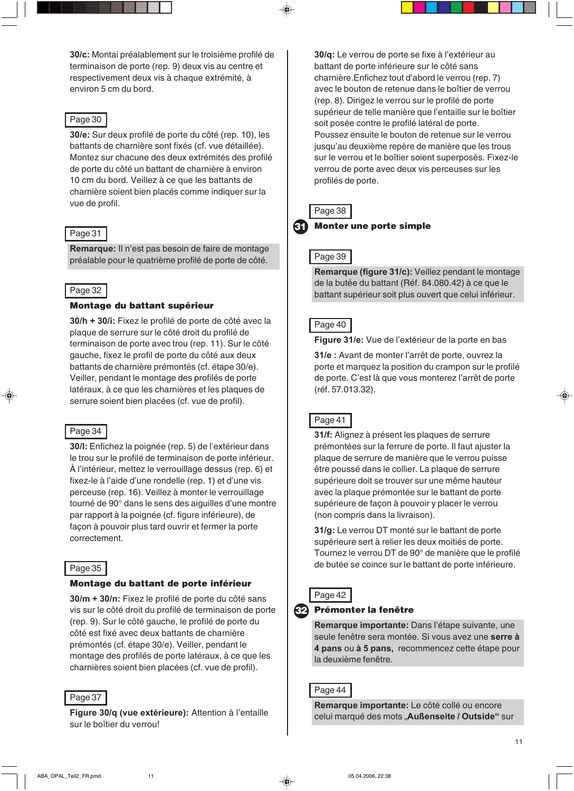**30/c:** Montai préalablement sur le troisième profilé de terminaison de porte (rep. 9) deux vis au centre et respectivement deux vis à chaque extrémité, à environ 5 cm du bord.

## Page 30

**30/e:** Sur deux profilé de porte du côté (rep. 10), les battants de charnière sont fixés (cf. vue détaillée). Montez sur chacune des deux extrémités des profilé de porte du côté un battant de charnière à environ 10 cm du bord. Veillez à ce que les battants de charnière soient bien placés comme indiquer sur la vue de profil.

#### Page 31

**Remarque:** Il n'est pas besoin de faire de montage préalable pour le quatrième profilé de porte de côté.

## Page 32

### **Montage du battant supérieur**

**30/h + 30/i:** Fixez le profilé de porte de côté avec la plaque de serrure sur le côté droit du profilé de terminaison de porte avec trou (rep. 11). Sur le côté gauche, fixez le profil de porte du côté aux deux battants de charnière prémontés (cf. étape 30/e). Veiller, pendant le montage des profilés de porte latéraux, à ce que les charnières et les plaques de serrure soient bien placées (cf. vue de profil).

## Page 34

**30/l:** Enfichez la poignée (rep. 5) de l'extérieur dans le trou sur le profilé de terminaison de porte inférieur. À l'intérieur, mettez le verrouillage dessus (rep. 6) et fixez-le à l'aide d'une rondelle (rep. 1) et d'une vis perceuse (rep. 16). Veillez à monter le verrouillage tourné de 90° dans le sens des aiguilles d'une montre par rapport à la poignée (cf. figure inférieure), de façon à pouvoir plus tard ouvrir et fermer la porte correctement.

## Page 35

#### **Montage du battant de porte inférieur**

**30/m + 30/n:** Fixez le profilé de porte du côté sans vis sur le côté droit du profilé de terminaison de porte (rep. 9). Sur le côté gauche, le profilé de porte du côté est fixé avec deux battants de charnière prémontés (cf. étape 30/e). Veiller, pendant le montage des profilés de porte latéraux, à ce que les charnières soient bien placées (cf. vue de profil).

#### Page 37

**Figure 30/q (vue extérieure):** Attention à l'entaille sur le boîtier du verrou!

**30/q:** Le verrou de porte se fixe à l'extérieur au battant de porte inférieure sur le côté sans charnière.Enfichez tout d'abord le verrou (rep. 7) avec le bouton de retenue dans le boîtier de verrou (rep. 8). Dirigez le verrou sur le profilé de porte supérieur de telle manière que l'entaille sur le boîtier soit posée contre le profilé latéral de porte. Poussez ensuite le bouton de retenue sur le verrou jusqu'au deuxième repère de manière que les trous sur le verrou et le boîtier soient superposés. Fixez-le verrou de porte avec deux vis perceuses sur les profilés de porte.

## Page 38



#### Page 39

**Remarque (figure 31/c):** Veillez pendant le montage de la butée du battant (Réf. 84.080.42) à ce que le battant supérieur soit plus ouvert que celui inférieur.

#### Page 40

**Figure 31/e:** Vue de l'extérieur de la porte en bas

**31/e :** Avant de monter l'arrêt de porte, ouvrez la porte et marquez la position du crampon sur le profilé de porte. C'est là que vous monterez l'arrêt de porte (réf. 57.013.32).

## Page 41

**31/f:** Alignez à présent les plaques de serrure prémontées sur la ferrure de porte. Il faut ajuster la plaque de serrure de manière que le verrou puisse être poussé dans le collier. La plaque de serrure supérieure doit se trouver sur une même hauteur avec la plaque prémontée sur le battant de porte supérieure de façon à pouvoir y placer le verrou (non compris dans la livraison).

**31/g:** Le verrou DT monté sur le battant de porte supérieure sert à relier les deux moitiés de porte. Tournez le verrou DT de 90° de manière que le profilé de butée se coince sur le battant de porte inférieure.



#### **Prémonter la fenêtre** 32

**Remarque importante:** Dans l'étape suivante, une seule fenêtre sera montée. Si vous avez une **serre à 4 pans** ou **à 5 pans,** recommencez cette étape pour la deuxième fenêtre.

#### Page 44

**Remarque importante:** Le côté collé ou encore celui marqué des mots "**Außenseite / Outside"** sur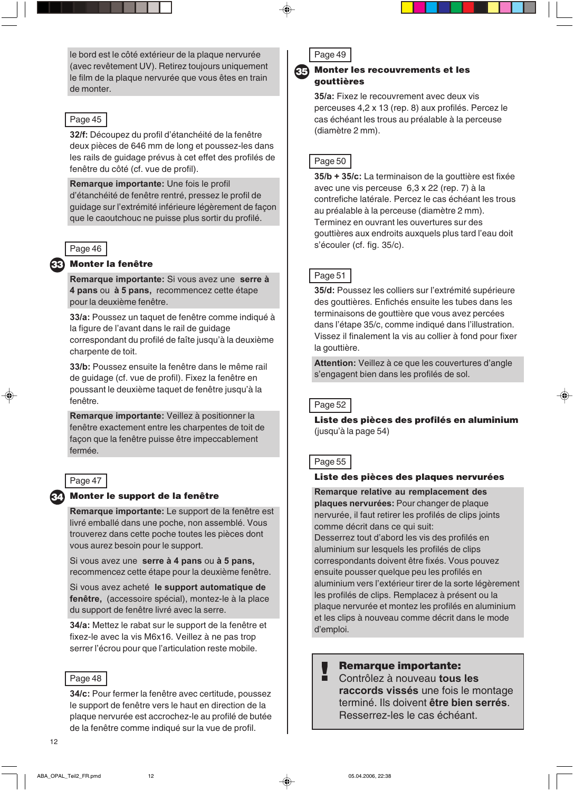le bord est le côté extérieur de la plaque nervurée (avec revêtement UV). Retirez toujours uniquement le film de la plaque nervurée que vous êtes en train de monter.

## Page 45

**32/f:** Découpez du profil d'étanchéité de la fenêtre deux pièces de 646 mm de long et poussez-les dans les rails de guidage prévus à cet effet des profilés de fenêtre du côté (cf. vue de profil).

**Remarque importante:** Une fois le profil d'étanchéité de fenêtre rentré, pressez le profil de guidage sur l'extrémité inférieure légèrement de façon que le caoutchouc ne puisse plus sortir du profilé.

## Page 46

## **Monter la fenêtre** 33

**Remarque importante:** Si vous avez une **serre à 4 pans** ou **à 5 pans,** recommencez cette étape pour la deuxième fenêtre.

**33/a:** Poussez un taquet de fenêtre comme indiqué à la figure de l'avant dans le rail de guidage correspondant du profilé de faîte jusqu'à la deuxième charpente de toit.

**33/b:** Poussez ensuite la fenêtre dans le même rail de guidage (cf. vue de profil). Fixez la fenêtre en poussant le deuxième taquet de fenêtre jusqu'à la fenêtre.

**Remarque importante:** Veillez à positionner la fenêtre exactement entre les charpentes de toit de façon que la fenêtre puisse être impeccablement fermée.

## Page 47

## 34 **Monter le support de la fenêtre**

**Remarque importante:** Le support de la fenêtre est livré emballé dans une poche, non assemblé. Vous trouverez dans cette poche toutes les pièces dont vous aurez besoin pour le support.

Si vous avez une **serre à 4 pans** ou **à 5 pans,** recommencez cette étape pour la deuxième fenêtre.

Si vous avez acheté **le support automatique de fenêtre,** (accessoire spécial), montez-le à la place du support de fenêtre livré avec la serre.

**34/a:** Mettez le rabat sur le support de la fenêtre et fixez-le avec la vis M6x16. Veillez à ne pas trop serrer l'écrou pour que l'articulation reste mobile.

#### Page 48

**34/c:** Pour fermer la fenêtre avec certitude, poussez le support de fenêtre vers le haut en direction de la plaque nervurée est accrochez-le au profilé de butée de la fenêtre comme indiqué sur la vue de profil.

## **Monter les recouvrements et les** 35 **gouttières**

**35/a:** Fixez le recouvrement avec deux vis perceuses 4,2 x 13 (rep. 8) aux profilés. Percez le cas échéant les trous au préalable à la perceuse (diamètre 2 mm).

## Page 50

**35/b + 35/c:** La terminaison de la gouttière est fixée avec une vis perceuse 6,3 x 22 (rep. 7) à la contrefiche latérale. Percez le cas échéant les trous au préalable à la perceuse (diamètre 2 mm). Terminez en ouvrant les ouvertures sur des gouttières aux endroits auxquels plus tard l'eau doit s'écouler (cf. fig. 35/c).

## Page 51

**35/d:** Poussez les colliers sur l'extrémité supérieure des gouttières. Enfichés ensuite les tubes dans les terminaisons de gouttière que vous avez percées dans l'étape 35/c, comme indiqué dans l'illustration. Vissez il finalement la vis au collier à fond pour fixer la gouttière.

**Attention:** Veillez à ce que les couvertures d'angle s'engagent bien dans les profilés de sol.



**Liste des pièces des profilés en aluminium** (jusqu'à la page 54)

### Page 55

#### **Liste des pièces des plaques nervurées**

**Remarque relative au remplacement des plaques nervurées:** Pour changer de plaque nervurée, il faut retirer les profilés de clips joints comme décrit dans ce qui suit: Desserrez tout d'abord les vis des profilés en aluminium sur lesquels les profilés de clips correspondants doivent être fixés. Vous pouvez ensuite pousser quelque peu les profilés en aluminium vers l'extérieur tirer de la sorte légèrement les profilés de clips. Remplacez à présent ou la plaque nervurée et montez les profilés en aluminium et les clips à nouveau comme décrit dans le mode d'emploi.

## **Remarque importante:**

Contrôlez à nouveau **tous les raccords vissés** une fois le montage terminé. Ils doivent **être bien serrés**. Resserrez-les le cas échéant. !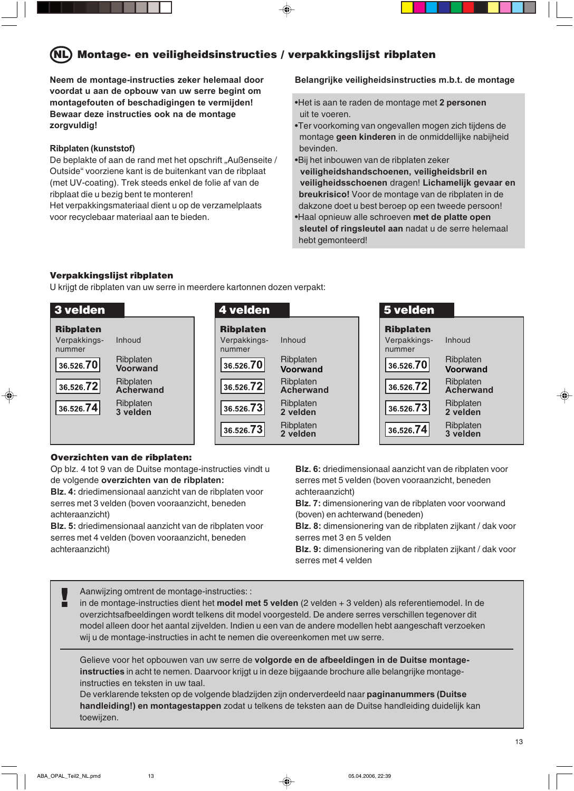#### **Montage- en veiligheidsinstructies / verpakkingslijst ribplaten** NL

**Neem de montage-instructies zeker helemaal door voordat u aan de opbouw van uw serre begint om montagefouten of beschadigingen te vermijden! Bewaar deze instructies ook na de montage zorgvuldig!**

## **Ribplaten (kunststof)**

De beplakte of aan de rand met het opschrift "Außenseite / Outside" voorziene kant is de buitenkant van de ribplaat (met UV-coating). Trek steeds enkel de folie af van de ribplaat die u bezig bent te monteren! Het verpakkingsmateriaal dient u op de verzamelplaats

voor recyclebaar materiaal aan te bieden.

## **Belangrijke veiligheidsinstructies m.b.t. de montage**

- •Het is aan te raden de montage met **2 personen** uit te voeren.
- •Ter voorkoming van ongevallen mogen zich tijdens de montage **geen kinderen** in de onmiddellijke nabijheid bevinden.
- •Bij het inbouwen van de ribplaten zeker  **veiligheidshandschoenen, veiligheidsbril en veiligheidsschoenen** dragen! **Lichamelijk gevaar en breukrisico!** Voor de montage van de ribplaten in de dakzone doet u best beroep op een tweede persoon! •Haal opnieuw alle schroeven **met de platte open**
- **sleutel of ringsleutel aan** nadat u de serre helemaal hebt gemonteerd!

## **Verpakkingslijst ribplaten**

U krijgt de ribplaten van uw serre in meerdere kartonnen dozen verpakt:



## **Overzichten van de ribplaten:**

⊕

Op blz. 4 tot 9 van de Duitse montage-instructies vindt u de volgende **overzichten van de ribplaten:**

**Blz. 4:** driedimensionaal aanzicht van de ribplaten voor serres met 3 velden (boven vooraanzicht, beneden achteraanzicht)

**Blz. 5:** driedimensionaal aanzicht van de ribplaten voor serres met 4 velden (boven vooraanzicht, beneden achteraanzicht)

**Blz. 6:** driedimensionaal aanzicht van de ribplaten voor serres met 5 velden (boven vooraanzicht, beneden achteraanzicht)

**Blz. 7:** dimensionering van de ribplaten voor voorwand (boven) en achterwand (beneden)

**Blz. 8:** dimensionering van de ribplaten zijkant / dak voor serres met 3 en 5 velden

**Blz. 9:** dimensionering van de ribplaten zijkant / dak voor serres met 4 velden

Aanwijzing omtrent de montage-instructies: : !

in de montage-instructies dient het **model met 5 velden** (2 velden + 3 velden) als referentiemodel. In de overzichtsafbeeldingen wordt telkens dit model voorgesteld. De andere serres verschillen tegenover dit model alleen door het aantal zijvelden. Indien u een van de andere modellen hebt aangeschaft verzoeken wij u de montage-instructies in acht te nemen die overeenkomen met uw serre.

Gelieve voor het opbouwen van uw serre de **volgorde en de afbeeldingen in de Duitse montageinstructies** in acht te nemen. Daarvoor krijgt u in deze bijgaande brochure alle belangrijke montageinstructies en teksten in uw taal.

De verklarende teksten op de volgende bladzijden zijn onderverdeeld naar **paginanummers (Duitse handleiding!) en montagestappen** zodat u telkens de teksten aan de Duitse handleiding duidelijk kan toewijzen.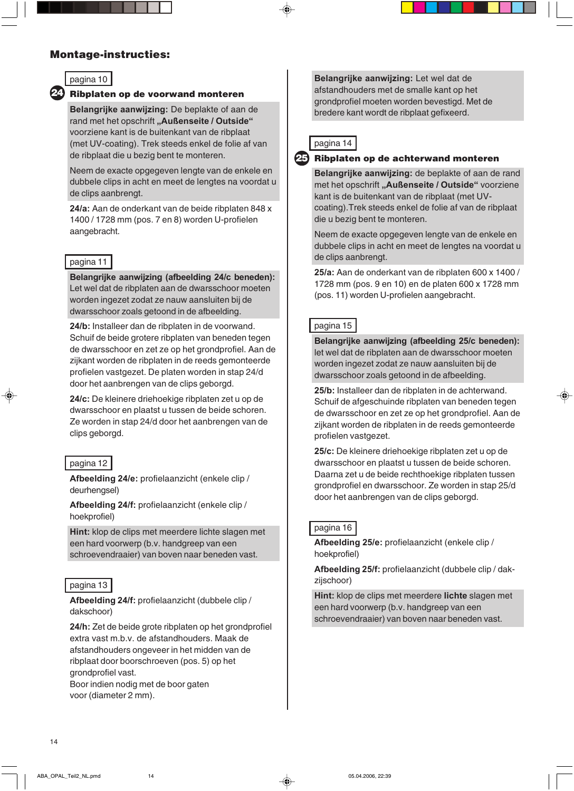## **Montage-instructies:**



## **Ribplaten op de voorwand monteren** 24

**Belangrijke aanwijzing:** De beplakte of aan de rand met het opschrift "Außenseite / Outside" voorziene kant is de buitenkant van de ribplaat (met UV-coating). Trek steeds enkel de folie af van de ribplaat die u bezig bent te monteren.

Neem de exacte opgegeven lengte van de enkele en dubbele clips in acht en meet de lengtes na voordat u de clips aanbrengt.

**24/a:** Aan de onderkant van de beide ribplaten 848 x 1400 / 1728 mm (pos. 7 en 8) worden U-profielen aangebracht.

## pagina 11

**Belangrijke aanwijzing (afbeelding 24/c beneden):** Let wel dat de ribplaten aan de dwarsschoor moeten worden ingezet zodat ze nauw aansluiten bij de dwarsschoor zoals getoond in de afbeelding.

**24/b:** Installeer dan de ribplaten in de voorwand. Schuif de beide grotere ribplaten van beneden tegen de dwarsschoor en zet ze op het grondprofiel. Aan de zijkant worden de ribplaten in de reeds gemonteerde profielen vastgezet. De platen worden in stap 24/d door het aanbrengen van de clips geborgd.

**24/c:** De kleinere driehoekige ribplaten zet u op de dwarsschoor en plaatst u tussen de beide schoren. Ze worden in stap 24/d door het aanbrengen van de clips geborgd.

#### pagina 12

 $\bigcirc$ 

**Afbeelding 24/e:** profielaanzicht (enkele clip / deurhengsel)

**Afbeelding 24/f:** profielaanzicht (enkele clip / hoekprofiel)

**Hint:** klop de clips met meerdere lichte slagen met een hard voorwerp (b.v. handgreep van een schroevendraaier) van boven naar beneden vast.

#### pagina 13

**Afbeelding 24/f:** profielaanzicht (dubbele clip / dakschoor)

**24/h:** Zet de beide grote ribplaten op het grondprofiel extra vast m.b.v. de afstandhouders. Maak de afstandhouders ongeveer in het midden van de ribplaat door boorschroeven (pos. 5) op het grondprofiel vast. Boor indien nodig met de boor gaten

voor (diameter 2 mm).

**Belangrijke aanwijzing:** Let wel dat de afstandhouders met de smalle kant op het grondprofiel moeten worden bevestigd. Met de bredere kant wordt de ribplaat gefixeerd.



#### **Ribplaten op de achterwand monteren** 25

**Belangrijke aanwijzing:** de beplakte of aan de rand met het opschrift "Außenseite / Outside" voorziene kant is de buitenkant van de ribplaat (met UVcoating).Trek steeds enkel de folie af van de ribplaat die u bezig bent te monteren.

Neem de exacte opgegeven lengte van de enkele en dubbele clips in acht en meet de lengtes na voordat u de clips aanbrengt.

**25/a:** Aan de onderkant van de ribplaten 600 x 1400 / 1728 mm (pos. 9 en 10) en de platen 600 x 1728 mm (pos. 11) worden U-profielen aangebracht.

## pagina 15

**Belangrijke aanwijzing (afbeelding 25/c beneden):** let wel dat de ribplaten aan de dwarsschoor moeten worden ingezet zodat ze nauw aansluiten bij de dwarsschoor zoals getoond in de afbeelding.

**25/b:** Installeer dan de ribplaten in de achterwand. Schuif de afgeschuinde ribplaten van beneden tegen de dwarsschoor en zet ze op het grondprofiel. Aan de zijkant worden de ribplaten in de reeds gemonteerde profielen vastgezet.

**25/c:** De kleinere driehoekige ribplaten zet u op de dwarsschoor en plaatst u tussen de beide schoren. Daarna zet u de beide rechthoekige ribplaten tussen grondprofiel en dwarsschoor. Ze worden in stap 25/d door het aanbrengen van de clips geborgd.

## pagina 16

**Afbeelding 25/e:** profielaanzicht (enkele clip / hoekprofiel)

**Afbeelding 25/f:** profielaanzicht (dubbele clip / dakzijschoor)

**Hint:** klop de clips met meerdere **lichte** slagen met een hard voorwerp (b.v. handgreep van een schroevendraaier) van boven naar beneden vast.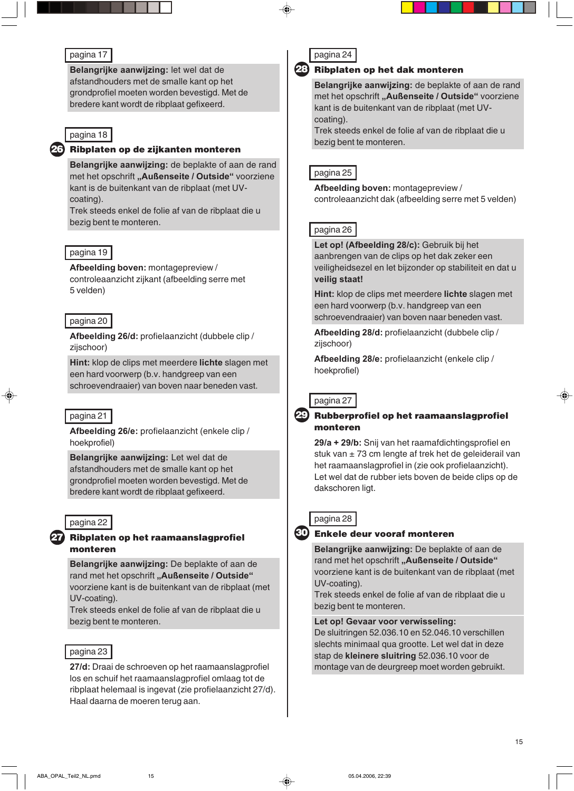## pagina 17

**Belangrijke aanwijzing:** let wel dat de afstandhouders met de smalle kant op het grondprofiel moeten worden bevestigd. Met de bredere kant wordt de ribplaat gefixeerd.

## pagina 18

## **Ribplaten op de zijkanten monteren** 26

**Belangrijke aanwijzing:** de beplakte of aan de rand met het opschrift "Außenseite / Outside" voorziene kant is de buitenkant van de ribplaat (met UVcoating).

Trek steeds enkel de folie af van de ribplaat die u bezig bent te monteren.

#### pagina 19

**Afbeelding boven:** montagepreview / controleaanzicht zijkant (afbeelding serre met 5 velden)

## pagina 20

**Afbeelding 26/d:** profielaanzicht (dubbele clip / zijschoor)

**Hint:** klop de clips met meerdere **lichte** slagen met een hard voorwerp (b.v. handgreep van een schroevendraaier) van boven naar beneden vast.

## pagina 21

**Afbeelding 26/e:** profielaanzicht (enkele clip / hoekprofiel)

**Belangrijke aanwijzing:** Let wel dat de afstandhouders met de smalle kant op het grondprofiel moeten worden bevestigd. Met de bredere kant wordt de ribplaat gefixeerd.

## pagina 22

27

## **Ribplaten op het raamaanslagprofiel monteren**

**Belangrijke aanwijzing:** De beplakte of aan de rand met het opschrift "Außenseite / Outside" voorziene kant is de buitenkant van de ribplaat (met UV-coating).

Trek steeds enkel de folie af van de ribplaat die u bezig bent te monteren.

#### pagina 23

**27/d:** Draai de schroeven op het raamaanslagprofiel los en schuif het raamaanslagprofiel omlaag tot de ribplaat helemaal is ingevat (zie profielaanzicht 27/d). Haal daarna de moeren terug aan.

| ÷<br>ли - |  |
|-----------|--|
|           |  |

#### **Ribplaten op het dak monteren** 28

**Belangrijke aanwijzing:** de beplakte of aan de rand met het opschrift "Außenseite / Outside" voorziene kant is de buitenkant van de ribplaat (met UVcoating).

Trek steeds enkel de folie af van de ribplaat die u bezig bent te monteren.

## pagina 25

**Afbeelding boven:** montagepreview / controleaanzicht dak (afbeelding serre met 5 velden)

## pagina 26

**Let op! (Afbeelding 28/c):** Gebruik bij het aanbrengen van de clips op het dak zeker een veiligheidsezel en let bijzonder op stabiliteit en dat u **veilig staat!**

**Hint:** klop de clips met meerdere **lichte** slagen met een hard voorwerp (b.v. handgreep van een schroevendraaier) van boven naar beneden vast.

**Afbeelding 28/d:** profielaanzicht (dubbele clip / zijschoor)

**Afbeelding 28/e:** profielaanzicht (enkele clip / hoekprofiel)



#### **Rubberprofiel op het raamaanslagprofiel monteren** 29

**29/a + 29/b:** Snij van het raamafdichtingsprofiel en stuk van ± 73 cm lengte af trek het de geleiderail van het raamaanslagprofiel in (zie ook profielaanzicht). Let wel dat de rubber iets boven de beide clips op de dakschoren ligt.



30

#### **Enkele deur vooraf monteren**

**Belangrijke aanwijzing:** De beplakte of aan de rand met het opschrift "Außenseite / Outside" voorziene kant is de buitenkant van de ribplaat (met UV-coating).

Trek steeds enkel de folie af van de ribplaat die u bezig bent te monteren.

#### **Let op! Gevaar voor verwisseling:**

De sluitringen 52.036.10 en 52.046.10 verschillen slechts minimaal qua grootte. Let wel dat in deze stap de **kleinere sluitring** 52.036.10 voor de montage van de deurgreep moet worden gebruikt.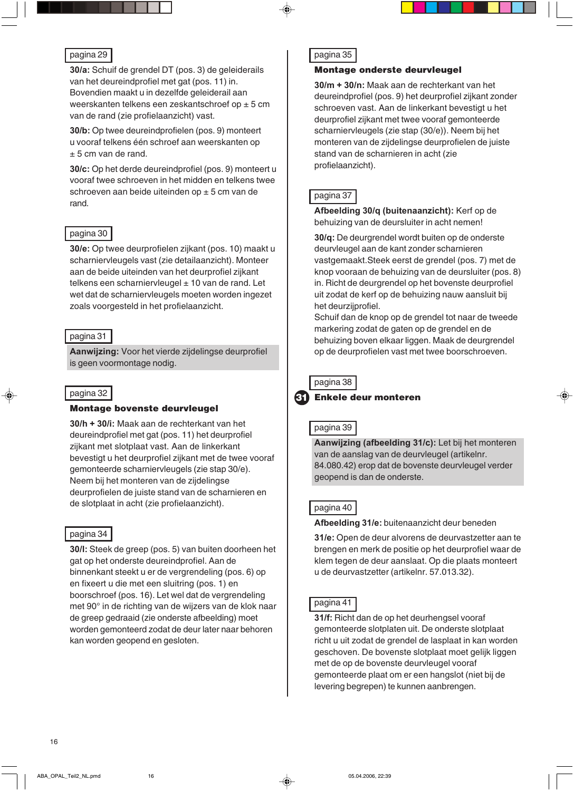#### pagina 29

**30/a:** Schuif de grendel DT (pos. 3) de geleiderails van het deureindprofiel met gat (pos. 11) in. Bovendien maakt u in dezelfde geleiderail aan weerskanten telkens een zeskantschroef op ± 5 cm van de rand (zie profielaanzicht) vast.

**30/b:** Op twee deureindprofielen (pos. 9) monteert u vooraf telkens één schroef aan weerskanten op  $± 5$  cm van de rand.

**30/c:** Op het derde deureindprofiel (pos. 9) monteert u vooraf twee schroeven in het midden en telkens twee schroeven aan beide uiteinden op ± 5 cm van de rand.

#### pagina 30

**30/e:** Op twee deurprofielen zijkant (pos. 10) maakt u scharniervleugels vast (zie detailaanzicht). Monteer aan de beide uiteinden van het deurprofiel zijkant telkens een scharniervleugel  $\pm$  10 van de rand. Let wet dat de scharniervleugels moeten worden ingezet zoals voorgesteld in het profielaanzicht.

#### pagina 31

**Aanwijzing:** Voor het vierde zijdelingse deurprofiel is geen voormontage nodig.

#### pagina 32

### **Montage bovenste deurvleugel**

**30/h + 30/i:** Maak aan de rechterkant van het deureindprofiel met gat (pos. 11) het deurprofiel zijkant met slotplaat vast. Aan de linkerkant bevestigt u het deurprofiel zijkant met de twee vooraf gemonteerde scharniervleugels (zie stap 30/e). Neem bij het monteren van de zijdelingse deurprofielen de juiste stand van de scharnieren en de slotplaat in acht (zie profielaanzicht).

### pagina 34

**30/l:** Steek de greep (pos. 5) van buiten doorheen het gat op het onderste deureindprofiel. Aan de binnenkant steekt u er de vergrendeling (pos. 6) op en fixeert u die met een sluitring (pos. 1) en boorschroef (pos. 16). Let wel dat de vergrendeling met 90° in de richting van de wijzers van de klok naar de greep gedraaid (zie onderste afbeelding) moet worden gemonteerd zodat de deur later naar behoren kan worden geopend en gesloten.

## pagina 35

### **Montage onderste deurvleugel**

**30/m + 30/n:** Maak aan de rechterkant van het deureindprofiel (pos. 9) het deurprofiel zijkant zonder schroeven vast. Aan de linkerkant bevestigt u het deurprofiel zijkant met twee vooraf gemonteerde scharniervleugels (zie stap (30/e)). Neem bij het monteren van de zijdelingse deurprofielen de juiste stand van de scharnieren in acht (zie profielaanzicht).

## pagina 37

**Afbeelding 30/q (buitenaanzicht):** Kerf op de behuizing van de deursluiter in acht nemen!

**30/q:** De deurgrendel wordt buiten op de onderste deurvleugel aan de kant zonder scharnieren vastgemaakt.Steek eerst de grendel (pos. 7) met de knop vooraan de behuizing van de deursluiter (pos. 8) in. Richt de deurgrendel op het bovenste deurprofiel uit zodat de kerf op de behuizing nauw aansluit bij het deurzijprofiel.

Schuif dan de knop op de grendel tot naar de tweede markering zodat de gaten op de grendel en de behuizing boven elkaar liggen. Maak de deurgrendel op de deurprofielen vast met twee boorschroeven.

## pagina 38

**Enkele deur monteren** 61

## pagina 39

**Aanwijzing (afbeelding 31/c):** Let bij het monteren van de aanslag van de deurvleugel (artikelnr. 84.080.42) erop dat de bovenste deurvleugel verder geopend is dan de onderste.

#### pagina 40

**Afbeelding 31/e:** buitenaanzicht deur beneden

**31/e:** Open de deur alvorens de deurvastzetter aan te brengen en merk de positie op het deurprofiel waar de klem tegen de deur aanslaat. Op die plaats monteert u de deurvastzetter (artikelnr. 57.013.32).

#### pagina 41

**31/f:** Richt dan de op het deurhengsel vooraf gemonteerde slotplaten uit. De onderste slotplaat richt u uit zodat de grendel de lasplaat in kan worden geschoven. De bovenste slotplaat moet gelijk liggen met de op de bovenste deurvleugel vooraf gemonteerde plaat om er een hangslot (niet bij de levering begrepen) te kunnen aanbrengen.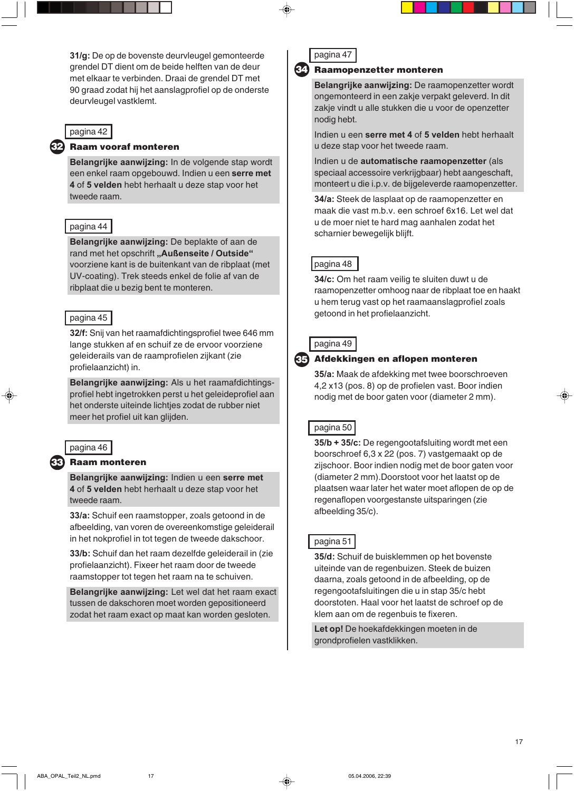**31/g:** De op de bovenste deurvleugel gemonteerde grendel DT dient om de beide helften van de deur met elkaar te verbinden. Draai de grendel DT met 90 graad zodat hij het aanslagprofiel op de onderste deurvleugel vastklemt.

## pagina 42

#### 32 **Raam vooraf monteren**

**Belangrijke aanwijzing:** In de volgende stap wordt een enkel raam opgebouwd. Indien u een **serre met 4** of **5 velden** hebt herhaalt u deze stap voor het tweede raam.

## pagina 44

**Belangrijke aanwijzing:** De beplakte of aan de rand met het opschrift "Außenseite / Outside" voorziene kant is de buitenkant van de ribplaat (met UV-coating). Trek steeds enkel de folie af van de ribplaat die u bezig bent te monteren.

#### pagina 45

**32/f:** Snij van het raamafdichtingsprofiel twee 646 mm lange stukken af en schuif ze de ervoor voorziene geleiderails van de raamprofielen zijkant (zie profielaanzicht) in.

**Belangrijke aanwijzing:** Als u het raamafdichtingsprofiel hebt ingetrokken perst u het geleideprofiel aan het onderste uiteinde lichtjes zodat de rubber niet meer het profiel uit kan glijden.

#### pagina 46

33

#### **Raam monteren**

**Belangrijke aanwijzing:** Indien u een **serre met 4** of **5 velden** hebt herhaalt u deze stap voor het tweede raam.

**33/a:** Schuif een raamstopper, zoals getoond in de afbeelding, van voren de overeenkomstige geleiderail in het nokprofiel in tot tegen de tweede dakschoor.

**33/b:** Schuif dan het raam dezelfde geleiderail in (zie profielaanzicht). Fixeer het raam door de tweede raamstopper tot tegen het raam na te schuiven.

**Belangrijke aanwijzing:** Let wel dat het raam exact tussen de dakschoren moet worden gepositioneerd zodat het raam exact op maat kan worden gesloten.

## pagina 47

#### 34 **Raamopenzetter monteren**

**Belangrijke aanwijzing:** De raamopenzetter wordt ongemonteerd in een zakje verpakt geleverd. In dit zakje vindt u alle stukken die u voor de openzetter nodig hebt.

Indien u een **serre met 4** of **5 velden** hebt herhaalt u deze stap voor het tweede raam.

Indien u de **automatische raamopenzetter** (als speciaal accessoire verkrijgbaar) hebt aangeschaft, monteert u die i.p.v. de bijgeleverde raamopenzetter.

**34/a:** Steek de lasplaat op de raamopenzetter en maak die vast m.b.v. een schroef 6x16. Let wel dat u de moer niet te hard mag aanhalen zodat het scharnier bewegelijk blijft.



**34/c:** Om het raam veilig te sluiten duwt u de raamopenzetter omhoog naar de ribplaat toe en haakt u hem terug vast op het raamaanslagprofiel zoals getoond in het profielaanzicht.

### pagina 49

#### 35 **Afdekkingen en aflopen monteren**

**35/a:** Maak de afdekking met twee boorschroeven 4,2 x13 (pos. 8) op de profielen vast. Boor indien nodig met de boor gaten voor (diameter 2 mm).

## pagina 50

**35/b + 35/c:** De regengootafsluiting wordt met een boorschroef 6,3 x 22 (pos. 7) vastgemaakt op de zijschoor. Boor indien nodig met de boor gaten voor (diameter 2 mm).Doorstoot voor het laatst op de plaatsen waar later het water moet aflopen de op de regenaflopen voorgestanste uitsparingen (zie afbeelding 35/c).

## pagina 51

**35/d:** Schuif de buisklemmen op het bovenste uiteinde van de regenbuizen. Steek de buizen daarna, zoals getoond in de afbeelding, op de regengootafsluitingen die u in stap 35/c hebt doorstoten. Haal voor het laatst de schroef op de klem aan om de regenbuis te fixeren.

**Let op!** De hoekafdekkingen moeten in de grondprofielen vastklikken.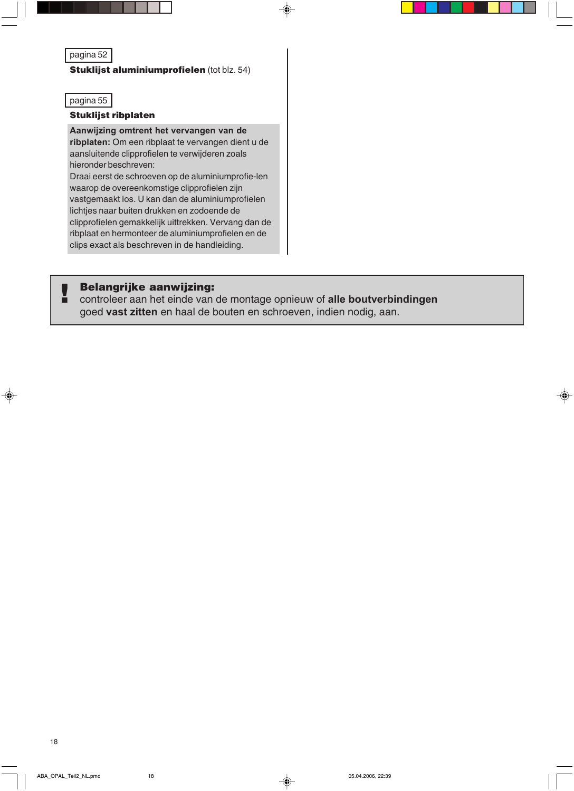## pagina 52

## **Stuklijst aluminiumprofielen** (tot blz. 54)

## pagina 55

## **Stuklijst ribplaten**

**Aanwijzing omtrent het vervangen van de ribplaten:** Om een ribplaat te vervangen dient u de aansluitende clipprofielen te verwijderen zoals hieronder beschreven:

Draai eerst de schroeven op de aluminiumprofie-len waarop de overeenkomstige clipprofielen zijn vastgemaakt los. U kan dan de aluminiumprofielen lichtjes naar buiten drukken en zodoende de clipprofielen gemakkelijk uittrekken. Vervang dan de ribplaat en hermonteer de aluminiumprofielen en de clips exact als beschreven in de handleiding.

## **Belangrijke aanwijzing:**

controleer aan het einde van de montage opnieuw of **alle boutverbindingen** goed **vast zitten** en haal de bouten en schroeven, indien nodig, aan. <u>!</u>

 $\bigcirc$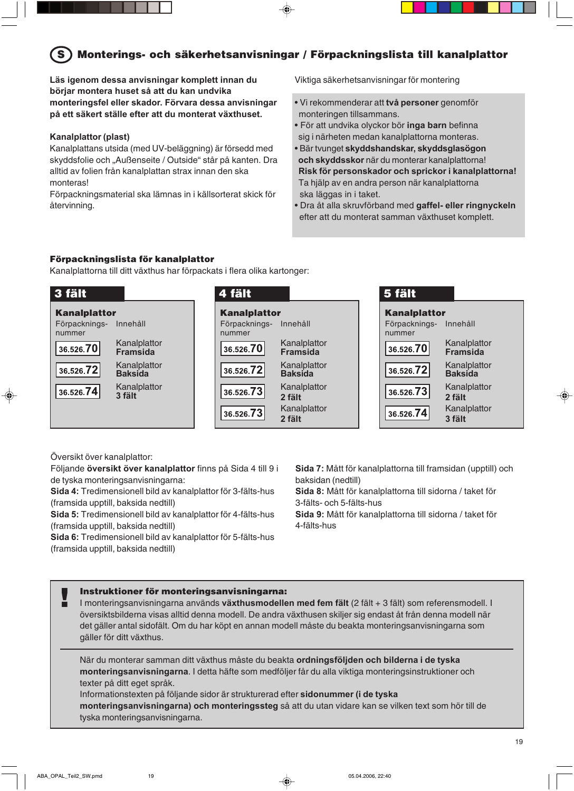#### **Monterings- och säkerhetsanvisningar / Förpackningslista till kanalplattor** S

**Läs igenom dessa anvisningar komplett innan du börjar montera huset så att du kan undvika monteringsfel eller skador. Förvara dessa anvisningar på ett säkert ställe efter att du monterat växthuset.**

## **Kanalplattor (plast)**

Kanalplattans utsida (med UV-beläggning) är försedd med skyddsfolie och "Außenseite / Outside" står på kanten. Dra alltid av folien från kanalplattan strax innan den ska monteras!

Förpackningsmaterial ska lämnas in i källsorterat skick för återvinning.

Viktiga säkerhetsanvisningar för montering

- Vi rekommenderar att **två personer** genomför monteringen tillsammans.
- För att undvika olyckor bör **inga barn** befinna sig i närheten medan kanalplattorna monteras.
- Bär tvunget **skyddshandskar, skyddsglasögon och skyddsskor** när du monterar kanalplattorna!  **Risk för personskador och sprickor i kanalplattorna!** Ta hjälp av en andra person när kanalplattorna ska läggas in i taket.
- Dra åt alla skruvförband med **gaffel- eller ringnyckeln** efter att du monterat samman växthuset komplett.

## **Förpackningslista för kanalplattor**

Kanalplattorna till ditt växthus har förpackats i flera olika kartonger:



Översikt över kanalplattor:

⊕

Följande **översikt över kanalplattor** finns på Sida 4 till 9 i de tyska monteringsanvisningarna:

**Sida 4:** Tredimensionell bild av kanalplattor för 3-fälts-hus (framsida upptill, baksida nedtill)

**Sida 5:** Tredimensionell bild av kanalplattor för 4-fälts-hus (framsida upptill, baksida nedtill)

**Sida 6:** Tredimensionell bild av kanalplattor för 5-fälts-hus (framsida upptill, baksida nedtill)

**Sida 7:** Mått för kanalplattorna till framsidan (upptill) och baksidan (nedtill)

**Sida 8:** Mått för kanalplattorna till sidorna / taket för 3-fälts- och 5-fälts-hus

**Sida 9:** Mått för kanalplattorna till sidorna / taket för 4-fälts-hus

| Instruktioner för monteringsanvisningarna:                                                                                                                                                                                                                                                                                                                 |
|------------------------------------------------------------------------------------------------------------------------------------------------------------------------------------------------------------------------------------------------------------------------------------------------------------------------------------------------------------|
| I monteringsanvisningarna används växthusmodellen med fem fält (2 fält + 3 fält) som referensmodell. I<br>översiktsbilderna visas alltid denna modell. De andra växthusen skiljer sig endast åt från denna modell när<br>det gäller antal sidofält. Om du har köpt en annan modell måste du beakta monteringsanvisningarna som<br>gäller för ditt växthus. |
| När du monterar samman ditt växthus måste du beakta ordningsföljden och bilderna i de tyska                                                                                                                                                                                                                                                                |

**monteringsanvisningarna**. I detta häfte som medföljer får du alla viktiga monteringsinstruktioner och texter på ditt eget språk.

#### Informationstexten på följande sidor är strukturerad efter **sidonummer (i de tyska**

**monteringsanvisningarna) och monteringssteg** så att du utan vidare kan se vilken text som hör till de tyska monteringsanvisningarna.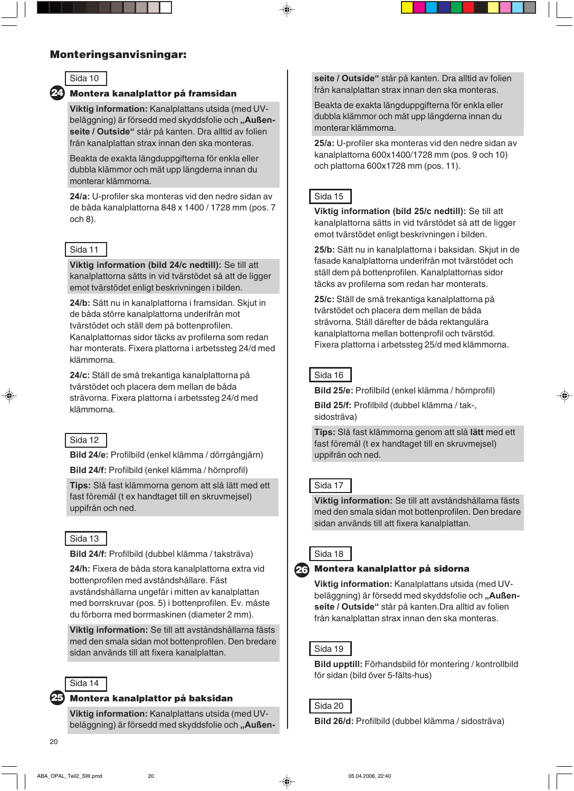## **Monteringsanvisningar:**



## **Montera kanalplattor på framsidan** 24

**Viktig information:** Kanalplattans utsida (med UVbeläggning) är försedd med skyddsfolie och "Außen**seite / Outside"** står på kanten. Dra alltid av folien från kanalplattan strax innan den ska monteras.

Beakta de exakta längduppgifterna för enkla eller dubbla klämmor och mät upp längderna innan du monterar klämmorna.

**24/a:** U-profiler ska monteras vid den nedre sidan av de båda kanalplattorna 848 x 1400 / 1728 mm (pos. 7 och 8).

## Sida 11

**Viktig information (bild 24/c nedtill):** Se till att kanalplattorna sätts in vid tvärstödet så att de ligger emot tvärstödet enligt beskrivningen i bilden.

**24/b:** Sätt nu in kanalplattorna i framsidan. Skjut in de båda större kanalplattorna underifrån mot tvärstödet och ställ dem på bottenprofilen. Kanalplattornas sidor täcks av profilerna som redan har monterats. Fixera plattorna i arbetssteg 24/d med klämmorna.

**24/c:** Ställ de små trekantiga kanalplattorna på tvärstödet och placera dem mellan de båda strävorna. Fixera plattorna i arbetssteg 24/d med klämmorna.

## Sida 12

 $\bigcirc$ 

**Bild 24/e:** Profilbild (enkel klämma / dörrgångjärn)

**Bild 24/f:** Profilbild (enkel klämma / hörnprofil)

**Tips:** Slå fast klämmorna genom att slå lätt med ett fast föremål (t ex handtaget till en skruvmejsel) uppifrån och ned.

## Sida 13

**Bild 24/f:** Profilbild (dubbel klämma / taksträva)

**24/h:** Fixera de båda stora kanalplattorna extra vid bottenprofilen med avståndshållare. Fäst avståndshållarna ungefär i mitten av kanalplattan med borrskruvar (pos. 5) i bottenprofilen. Ev. måste du förborra med borrmaskinen (diameter 2 mm).

**Viktig information:** Se till att avståndshållarna fästs med den smala sidan mot bottenprofilen. Den bredare sidan används till att fixera kanalplattan.

#### Sida 14

#### **Montera kanalplattor på baksidan** 25

**Viktig information:** Kanalplattans utsida (med UVbeläggning) är försedd med skyddsfolie och "Außen**seite / Outside"** står på kanten. Dra alltid av folien från kanalplattan strax innan den ska monteras.

Beakta de exakta längduppgifterna för enkla eller dubbla klämmor och mät upp längderna innan du monterar klämmorna.

**25/a:** U-profiler ska monteras vid den nedre sidan av kanalplattorna 600x1400/1728 mm (pos. 9 och 10) och plattorna 600x1728 mm (pos. 11).

## Sida 15

**Viktig information (bild 25/c nedtill):** Se till att kanalplattorna sätts in vid tvärstödet så att de ligger emot tvärstödet enligt beskrivningen i bilden.

**25/b:** Sätt nu in kanalplattorna i baksidan. Skjut in de fasade kanalplattorna underifrån mot tvärstödet och ställ dem på bottenprofilen. Kanalplattornas sidor täcks av profilerna som redan har monterats.

**25/c:** Ställ de små trekantiga kanalplattorna på tvärstödet och placera dem mellan de båda strävorna. Ställ därefter de båda rektangulära kanalplattorna mellan bottenprofil och tvärstöd. Fixera plattorna i arbetssteg 25/d med klämmorna.

## Sida 16

**Bild 25/e:** Profilbild (enkel klämma / hörnprofil)

**Bild 25/f:** Profilbild (dubbel klämma / tak-, sidosträva)

**Tips:** Slå fast klämmorna genom att slå **lätt** med ett fast föremål (t ex handtaget till en skruvmejsel) uppifrån och ned.

#### Sida 17

**Viktig information:** Se till att avståndshållarna fästs med den smala sidan mot bottenprofilen. Den bredare sidan används till att fixera kanalplattan.



## **Montera kanalplattor på sidorna** 26

**Viktig information:** Kanalplattans utsida (med UVbeläggning) är försedd med skyddsfolie och "Außen**seite / Outside"** står på kanten.Dra alltid av folien från kanalplattan strax innan den ska monteras.

## Sida 19

**Bild upptill:** Förhandsbild för montering / kontrollbild för sidan (bild över 5-fälts-hus)

#### Sida 20

**Bild 26/d:** Profilbild (dubbel klämma / sidosträva)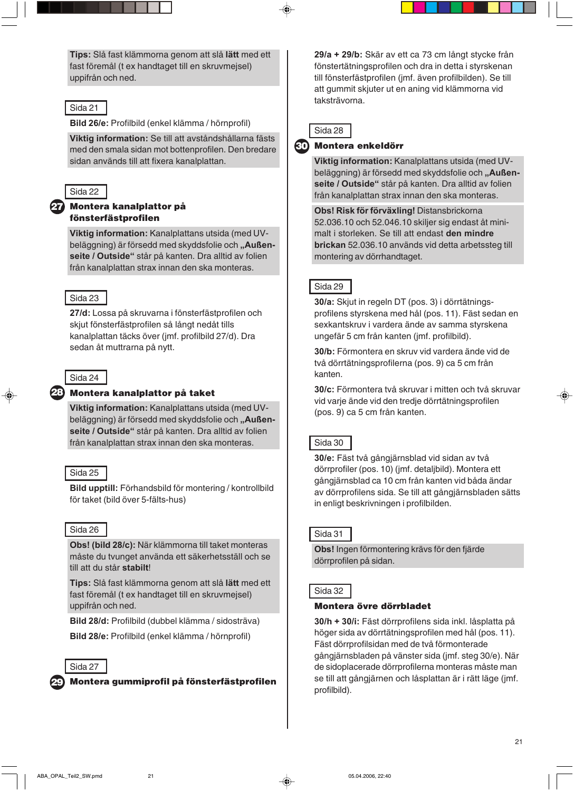**Tips:** Slå fast klämmorna genom att slå **lätt** med ett fast föremål (t ex handtaget till en skruvmejsel) uppifrån och ned.

## Sida 21

**Bild 26/e:** Profilbild (enkel klämma / hörnprofil)

**Viktig information:** Se till att avståndshållarna fästs med den smala sidan mot bottenprofilen. Den bredare sidan används till att fixera kanalplattan.

#### Sida 22

27

## **Montera kanalplattor på fönsterfästprofilen**

**Viktig information:** Kanalplattans utsida (med UVbeläggning) är försedd med skyddsfolie och "Außen**seite / Outside"** står på kanten. Dra alltid av folien från kanalplattan strax innan den ska monteras.

## Sida 23

**27/d:** Lossa på skruvarna i fönsterfästprofilen och skjut fönsterfästprofilen så långt nedåt tills kanalplattan täcks över (jmf. profilbild 27/d). Dra sedan åt muttrarna på nytt.



## **Montera kanalplattor på taket** 28

**Viktig information:** Kanalplattans utsida (med UVbeläggning) är försedd med skyddsfolie och "Außen**seite / Outside"** står på kanten. Dra alltid av folien från kanalplattan strax innan den ska monteras.

## Sida 25

**Bild upptill:** Förhandsbild för montering / kontrollbild för taket (bild över 5-fälts-hus)

## Sida 26

**Obs! (bild 28/c):** När klämmorna till taket monteras måste du tvunget använda ett säkerhetsställ och se till att du står **stabilt**!

**Tips:** Slå fast klämmorna genom att slå **lätt** med ett fast föremål (t ex handtaget till en skruvmejsel) uppifrån och ned.

**Bild 28/d:** Profilbild (dubbel klämma / sidosträva)

**Bild 28/e:** Profilbild (enkel klämma / hörnprofil)



29

**Montera gummiprofil på fönsterfästprofilen**

**29/a + 29/b:** Skär av ett ca 73 cm långt stycke från fönstertätningsprofilen och dra in detta i styrskenan till fönsterfästprofilen (jmf. även profilbilden). Se till att gummit skjuter ut en aning vid klämmorna vid taksträvorna.



#### **Montera enkeldörr** 30

**Viktig information:** Kanalplattans utsida (med UVbeläggning) är försedd med skyddsfolie och "Außen**seite / Outside"** står på kanten. Dra alltid av folien från kanalplattan strax innan den ska monteras.

**Obs! Risk för förväxling!** Distansbrickorna 52.036.10 och 52.046.10 skiljer sig endast åt minimalt i storleken. Se till att endast **den mindre brickan** 52.036.10 används vid detta arbetssteg till montering av dörrhandtaget.

#### Sida 29

**30/a:** Skjut in regeln DT (pos. 3) i dörrtätningsprofilens styrskena med hål (pos. 11). Fäst sedan en sexkantskruv i vardera ände av samma styrskena ungefär 5 cm från kanten (jmf. profilbild).

**30/b:** Förmontera en skruv vid vardera ände vid de två dörrtätningsprofilerna (pos. 9) ca 5 cm från kanten.

**30/c:** Förmontera två skruvar i mitten och två skruvar vid varje ände vid den tredje dörrtätningsprofilen (pos. 9) ca 5 cm från kanten.

#### Sida 30

**30/e:** Fäst två gångjärnsblad vid sidan av två dörrprofiler (pos. 10) (jmf. detaljbild). Montera ett gångjärnsblad ca 10 cm från kanten vid båda ändar av dörrprofilens sida. Se till att gångjärnsbladen sätts in enligt beskrivningen i profilbilden.

#### Sida 31

**Obs!** Ingen förmontering krävs för den fjärde dörrprofilen på sidan.

#### Sida 32

#### **Montera övre dörrbladet**

**30/h + 30/i:** Fäst dörrprofilens sida inkl. låsplatta på höger sida av dörrtätningsprofilen med hål (pos. 11). Fäst dörrprofilsidan med de två förmonterade gångjärnsbladen på vänster sida (jmf. steg 30/e). När de sidoplacerade dörrprofilerna monteras måste man se till att gångjärnen och låsplattan är i rätt läge (jmf. profilbild).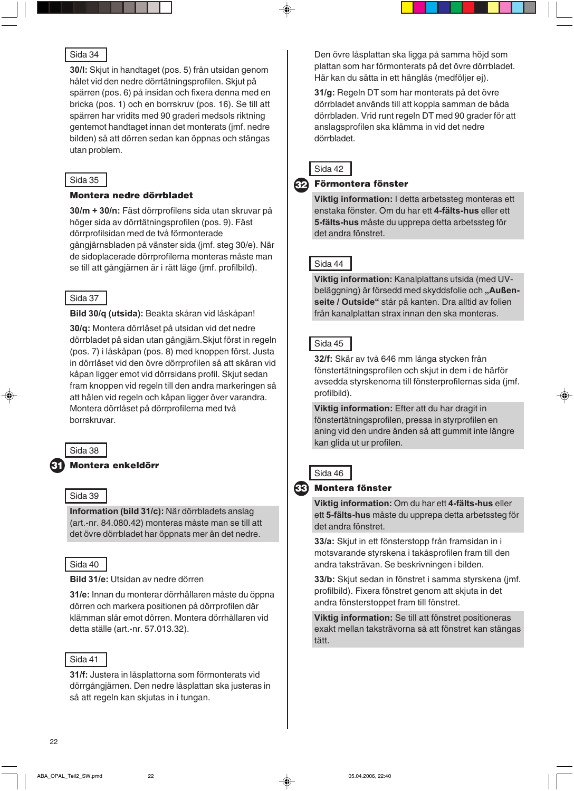## Sida 34

**30/l:** Skjut in handtaget (pos. 5) från utsidan genom hålet vid den nedre dörrtätningsprofilen. Skjut på spärren (pos. 6) på insidan och fixera denna med en bricka (pos. 1) och en borrskruv (pos. 16). Se till att spärren har vridits med 90 graderi medsols riktning gentemot handtaget innan det monterats (jmf. nedre bilden) så att dörren sedan kan öppnas och stängas utan problem.

## Sida 35

#### **Montera nedre dörrbladet**

**30/m + 30/n:** Fäst dörrprofilens sida utan skruvar på höger sida av dörrtätningsprofilen (pos. 9). Fäst dörrprofilsidan med de två förmonterade gångjärnsbladen på vänster sida (jmf. steg 30/e). När de sidoplacerade dörrprofilerna monteras måste man se till att gångjärnen är i rätt läge (jmf. profilbild).

## Sida 37

**Bild 30/q (utsida):** Beakta skåran vid låskåpan!

**30/q:** Montera dörrlåset på utsidan vid det nedre dörrbladet på sidan utan gångjärn.Skjut först in regeln (pos. 7) i låskåpan (pos. 8) med knoppen först. Justa in dörrlåset vid den övre dörrprofilen så att skåran vid kåpan ligger emot vid dörrsidans profil. Skjut sedan fram knoppen vid regeln till den andra markeringen så att hålen vid regeln och kåpan ligger över varandra. Montera dörrlåset på dörrprofilerna med två borrskruvar.

#### Sida 38

**Montera enkeldörr** 31

### Sida 39

**Information (bild 31/c):** När dörrbladets anslag (art.-nr. 84.080.42) monteras måste man se till att det övre dörrbladet har öppnats mer än det nedre.

## Sida 40

**Bild 31/e:** Utsidan av nedre dörren

**31/e:** Innan du monterar dörrhållaren måste du öppna dörren och markera positionen på dörrprofilen där klämman slår emot dörren. Montera dörrhållaren vid detta ställe (art.-nr. 57.013.32).

## Sida 41

**31/f:** Justera in låsplattorna som förmonterats vid dörrgångjärnen. Den nedre låsplattan ska justeras in så att regeln kan skjutas in i tungan.

Den övre låsplattan ska ligga på samma höjd som plattan som har förmonterats på det övre dörrbladet. Här kan du sätta in ett hänglås (medföljer ej).

**31/g:** Regeln DT som har monterats på det övre dörrbladet används till att koppla samman de båda dörrbladen. Vrid runt regeln DT med 90 grader för att anslagsprofilen ska klämma in vid det nedre dörrbladet.

## Sida 42

#### **Förmontera fönster** 32

**Viktig information:** I detta arbetssteg monteras ett enstaka fönster. Om du har ett **4-fälts-hus** eller ett **5-fälts-hus** måste du upprepa detta arbetssteg för det andra fönstret.

## Sida 44

**Viktig information:** Kanalplattans utsida (med UVbeläggning) är försedd med skyddsfolie och "Außen**seite / Outside"** står på kanten. Dra alltid av folien från kanalplattan strax innan den ska monteras.

## Sida 45

**32/f:** Skär av två 646 mm långa stycken från fönstertätningsprofilen och skjut in dem i de härför avsedda styrskenorna till fönsterprofilernas sida (jmf. profilbild).

**Viktig information:** Efter att du har dragit in fönstertätningsprofilen, pressa in styrprofilen en aning vid den undre änden så att gummit inte längre kan glida ut ur profilen.

#### Sida 46

#### **Montera fönster** 33

**Viktig information:** Om du har ett **4-fälts-hus** eller ett **5-fälts-hus** måste du upprepa detta arbetssteg för det andra fönstret.

**33/a:** Skjut in ett fönsterstopp från framsidan in i motsvarande styrskena i takåsprofilen fram till den andra taksträvan. Se beskrivningen i bilden.

**33/b:** Skjut sedan in fönstret i samma styrskena (jmf. profilbild). Fixera fönstret genom att skjuta in det andra fönsterstoppet fram till fönstret.

**Viktig information:** Se till att fönstret positioneras exakt mellan taksträvorna så att fönstret kan stängas tätt.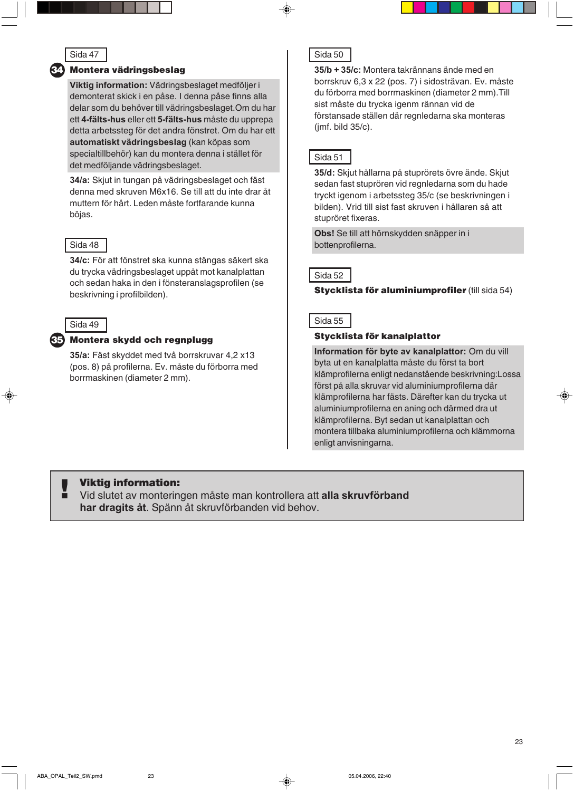## Sida 47

34

## **Montera vädringsbeslag**

**Viktig information:** Vädringsbeslaget medföljer i demonterat skick i en påse. I denna påse finns alla delar som du behöver till vädringsbeslaget.Om du har ett **4-fälts-hus** eller ett **5-fälts-hus** måste du upprepa detta arbetssteg för det andra fönstret. Om du har ett **automatiskt vädringsbeslag** (kan köpas som specialtillbehör) kan du montera denna i stället för det medföljande vädringsbeslaget.

**34/a:** Skjut in tungan på vädringsbeslaget och fäst denna med skruven M6x16. Se till att du inte drar åt muttern för hårt. Leden måste fortfarande kunna böjas.

## Sida 48

**34/c:** För att fönstret ska kunna stängas säkert ska du trycka vädringsbeslaget uppåt mot kanalplattan och sedan haka in den i fönsteranslagsprofilen (se beskrivning i profilbilden).

### Sida 49

#### 35 **Montera skydd och regnplugg**

**35/a:** Fäst skyddet med två borrskruvar 4,2 x13 (pos. 8) på profilerna. Ev. måste du förborra med borrmaskinen (diameter 2 mm).

## Sida 50

**35/b + 35/c:** Montera takrännans ände med en borrskruv 6,3 x 22 (pos. 7) i sidosträvan. Ev. måste du förborra med borrmaskinen (diameter 2 mm).Till sist måste du trycka igenm rännan vid de förstansade ställen där regnledarna ska monteras (jmf. bild 35/c).

## Sida 51

**35/d:** Skjut hållarna på stuprörets övre ände. Skjut sedan fast stuprören vid regnledarna som du hade tryckt igenom i arbetssteg 35/c (se beskrivningen i bilden). Vrid till sist fast skruven i hållaren så att stupröret fixeras.

**Obs!** Se till att hörnskydden snäpper in i bottenprofilerna.



**Stycklista för aluminiumprofiler** (till sida 54)

#### Sida 55

#### **Stycklista för kanalplattor**

**Information för byte av kanalplattor:** Om du vill byta ut en kanalplatta måste du först ta bort klämprofilerna enligt nedanstående beskrivning:Lossa först på alla skruvar vid aluminiumprofilerna där klämprofilerna har fästs. Därefter kan du trycka ut aluminiumprofilerna en aning och därmed dra ut klämprofilerna. Byt sedan ut kanalplattan och montera tillbaka aluminiumprofilerna och klämmorna enligt anvisningarna.

## **Viktig information:** !

Vid slutet av monteringen måste man kontrollera att **alla skruvförband har dragits åt**. Spänn åt skruvförbanden vid behov.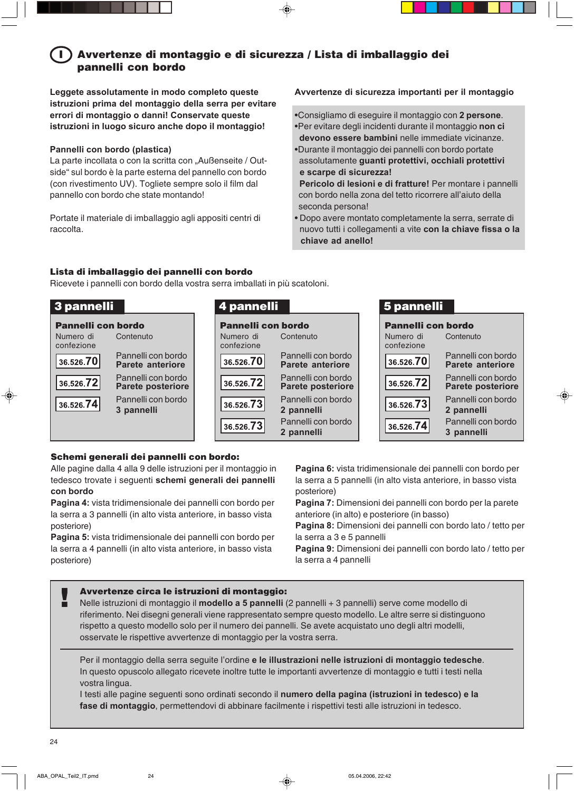#### **Avvertenze di montaggio e di sicurezza / Lista di imballaggio dei pannelli con bordo** I

**Leggete assolutamente in modo completo queste istruzioni prima del montaggio della serra per evitare errori di montaggio o danni! Conservate queste istruzioni in luogo sicuro anche dopo il montaggio!**

## **Pannelli con bordo (plastica)**

La parte incollata o con la scritta con "Außenseite / Outside" sul bordo è la parte esterna del pannello con bordo (con rivestimento UV). Togliete sempre solo il film dal pannello con bordo che state montando!

Portate il materiale di imballaggio agli appositi centri di raccolta.

**Avvertenze di sicurezza importanti per il montaggio**

•Consigliamo di eseguire il montaggio con **2 persone**. •Per evitare degli incidenti durante il montaggio **non ci devono essere bambini** nelle immediate vicinanze.

- •Durante il montaggio dei pannelli con bordo portate assolutamente **guanti protettivi, occhiali protettivi e scarpe di sicurezza! Pericolo di lesioni e di fratture!** Per montare i pannelli con bordo nella zona del tetto ricorrere all'aiuto della
- seconda persona! • Dopo avere montato completamente la serra, serrate di nuovo tutti i collegamenti a vite **con la chiave fissa o la chiave ad anello!**

## **Lista di imballaggio dei pannelli con bordo**

Ricevete i pannelli con bordo della vostra serra imballati in più scatoloni.



## **Schemi generali dei pannelli con bordo:**

Alle pagine dalla 4 alla 9 delle istruzioni per il montaggio in tedesco trovate i seguenti **schemi generali dei pannelli con bordo**

**Pagina 4:** vista tridimensionale dei pannelli con bordo per la serra a 3 pannelli (in alto vista anteriore, in basso vista posteriore)

**Pagina 5:** vista tridimensionale dei pannelli con bordo per la serra a 4 pannelli (in alto vista anteriore, in basso vista posteriore)

**Pagina 6:** vista tridimensionale dei pannelli con bordo per la serra a 5 pannelli (in alto vista anteriore, in basso vista posteriore)

**Pagina 7:** Dimensioni dei pannelli con bordo per la parete anteriore (in alto) e posteriore (in basso)

**Pagina 8:** Dimensioni dei pannelli con bordo lato / tetto per la serra a 3 e 5 pannelli

**Pagina 9:** Dimensioni dei pannelli con bordo lato / tetto per la serra a 4 pannelli

| Avvertenze circa le istruzioni di montaggio:                                                               |
|------------------------------------------------------------------------------------------------------------|
| Nelle istruzioni di montaggio il modello a 5 pannelli (2 pannelli + 3 pannelli) serve come modello di      |
| riferimento. Nei disegni generali viene rappresentato sempre questo modello. Le altre serre si distinguono |
| rispetto a questo modello solo per il numero dei pannelli. Se avete acquistato uno degli altri modelli,    |
| osservate le rispettive avvertenze di montaggio per la vostra serra.                                       |

Per il montaggio della serra seguite l'ordine **e le illustrazioni nelle istruzioni di montaggio tedesche**. In questo opuscolo allegato ricevete inoltre tutte le importanti avvertenze di montaggio e tutti i testi nella vostra lingua.

I testi alle pagine seguenti sono ordinati secondo il **numero della pagina (istruzioni in tedesco) e la fase di montaggio**, permettendovi di abbinare facilmente i rispettivi testi alle istruzioni in tedesco.

◈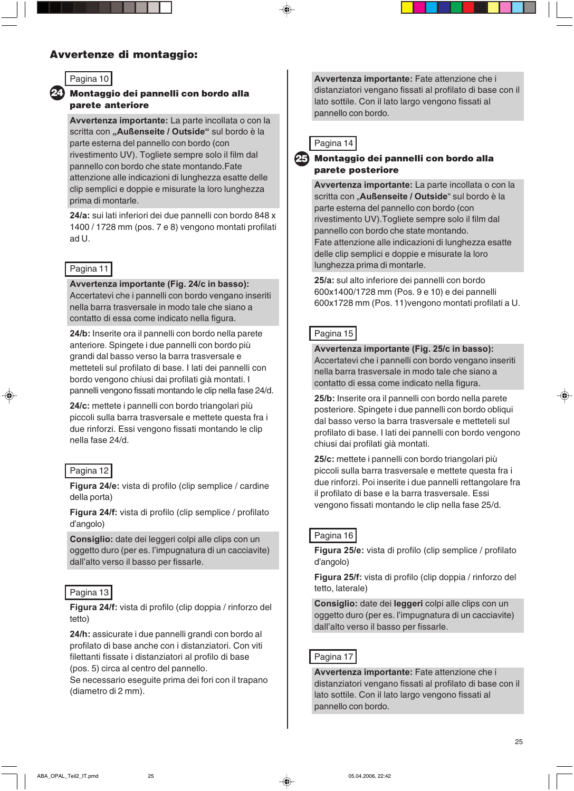## **Avvertenze di montaggio:**



24

## **Montaggio dei pannelli con bordo alla parete anteriore**

**Avvertenza importante:** La parte incollata o con la scritta con "Außenseite / Outside" sul bordo è la parte esterna del pannello con bordo (con rivestimento UV). Togliete sempre solo il film dal pannello con bordo che state montando.Fate attenzione alle indicazioni di lunghezza esatte delle clip semplici e doppie e misurate la loro lunghezza prima di montarle.

**24/a:** sui lati inferiori dei due pannelli con bordo 848 x 1400 / 1728 mm (pos. 7 e 8) vengono montati profilati ad U.

## Pagina 11

**Avvertenza importante (Fig. 24/c in basso):**

Accertatevi che i pannelli con bordo vengano inseriti nella barra trasversale in modo tale che siano a contatto di essa come indicato nella figura.

**24/b:** Inserite ora il pannelli con bordo nella parete anteriore. Spingete i due pannelli con bordo più grandi dal basso verso la barra trasversale e metteteli sul profilato di base. I lati dei pannelli con bordo vengono chiusi dai profilati già montati. I pannelli vengono fissati montando le clip nella fase 24/d.

**24/c:** mettete i pannelli con bordo triangolari più piccoli sulla barra trasversale e mettete questa fra i due rinforzi. Essi vengono fissati montando le clip nella fase 24/d.

## Pagina 12

**Figura 24/e:** vista di profilo (clip semplice / cardine della porta)

**Figura 24/f:** vista di profilo (clip semplice / profilato d'angolo)

**Consiglio:** date dei leggeri colpi alle clips con un oggetto duro (per es. l'impugnatura di un cacciavite) dall'alto verso il basso per fissarle.

## Pagina 13

**Figura 24/f:** vista di profilo (clip doppia / rinforzo del tetto)

**24/h:** assicurate i due pannelli grandi con bordo al profilato di base anche con i distanziatori. Con viti filettanti fissate i distanziatori al profilo di base (pos. 5) circa al centro del pannello.

Se necessario eseguite prima dei fori con il trapano (diametro di 2 mm).

**Avvertenza importante:** Fate attenzione che i distanziatori vengano fissati al profilato di base con il lato sottile. Con il lato largo vengono fissati al pannello con bordo.



#### **Montaggio dei pannelli con bordo alla parete posteriore** 25

**Avvertenza importante:** La parte incollata o con la scritta con "Außenseite / Outside" sul bordo è la parte esterna del pannello con bordo (con rivestimento UV).Togliete sempre solo il film dal pannello con bordo che state montando. Fate attenzione alle indicazioni di lunghezza esatte delle clip semplici e doppie e misurate la loro lunghezza prima di montarle.

**25/a:** sul alto inferiore dei pannelli con bordo 600x1400/1728 mm (Pos. 9 e 10) e dei pannelli 600x1728 mm (Pos. 11)vengono montati profilati a U.

## Pagina 15

**Avvertenza importante (Fig. 25/c in basso):** Accertatevi che i pannelli con bordo vengano inseriti nella barra trasversale in modo tale che siano a contatto di essa come indicato nella figura.

**25/b:** Inserite ora il pannelli con bordo nella parete posteriore. Spingete i due pannelli con bordo obliqui dal basso verso la barra trasversale e metteteli sul profilato di base. I lati dei pannelli con bordo vengono chiusi dai profilati già montati.

**25/c:** mettete i pannelli con bordo triangolari più piccoli sulla barra trasversale e mettete questa fra i due rinforzi. Poi inserite i due pannelli rettangolare fra il profilato di base e la barra trasversale. Essi vengono fissati montando le clip nella fase 25/d.

## Pagina 16

**Figura 25/e:** vista di profilo (clip semplice / profilato d'angolo)

**Figura 25/f:** vista di profilo (clip doppia / rinforzo del tetto, laterale)

**Consiglio:** date dei **leggeri** colpi alle clips con un oggetto duro (per es. l'impugnatura di un cacciavite) dall'alto verso il basso per fissarle.

## Pagina 17

**Avvertenza importante:** Fate attenzione che i distanziatori vengano fissati al profilato di base con il lato sottile. Con il lato largo vengono fissati al pannello con bordo.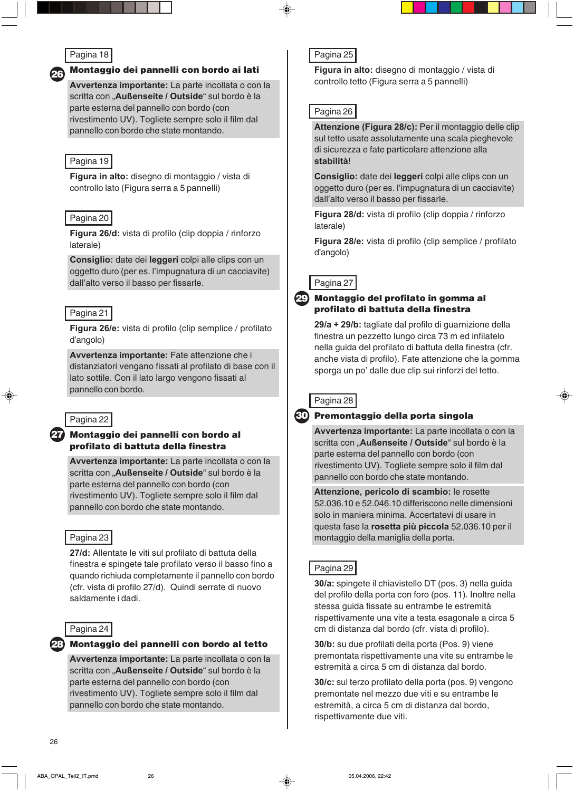## Pagina 18

26

#### **Montaggio dei pannelli con bordo ai lati**

**Avvertenza importante:** La parte incollata o con la scritta con "Außenseite / Outside" sul bordo è la parte esterna del pannello con bordo (con rivestimento UV). Togliete sempre solo il film dal pannello con bordo che state montando.

## Pagina 19

**Figura in alto:** disegno di montaggio / vista di controllo lato (Figura serra a 5 pannelli)

#### Pagina 20

**Figura 26/d:** vista di profilo (clip doppia / rinforzo laterale)

**Consiglio:** date dei **leggeri** colpi alle clips con un oggetto duro (per es. l'impugnatura di un cacciavite) dall'alto verso il basso per fissarle.

## Pagina 21

**Figura 26/e:** vista di profilo (clip semplice / profilato d'angolo)

**Avvertenza importante:** Fate attenzione che i distanziatori vengano fissati al profilato di base con il lato sottile. Con il lato largo vengono fissati al pannello con bordo.

## Pagina 22

## **Montaggio dei pannelli con bordo al** 27 **profilato di battuta della finestra**

**Avvertenza importante:** La parte incollata o con la scritta con "Außenseite / Outside" sul bordo è la parte esterna del pannello con bordo (con rivestimento UV). Togliete sempre solo il film dal pannello con bordo che state montando.

## Pagina 23

**27/d:** Allentate le viti sul profilato di battuta della finestra e spingete tale profilato verso il basso fino a quando richiuda completamente il pannello con bordo (cfr. vista di profilo 27/d). Quindi serrate di nuovo saldamente i dadi.

#### Pagina 24

#### **Montaggio dei pannelli con bordo al tetto** 28

**Avvertenza importante:** La parte incollata o con la scritta con "Außenseite / Outside" sul bordo è la parte esterna del pannello con bordo (con rivestimento UV). Togliete sempre solo il film dal pannello con bordo che state montando.

## Pagina 25

**Figura in alto:** disegno di montaggio / vista di controllo tetto (Figura serra a 5 pannelli)

## Pagina 26

**Attenzione (Figura 28/c):** Per il montaggio delle clip sul tetto usate assolutamente una scala pieghevole di sicurezza e fate particolare attenzione alla **stabilità**!

**Consiglio:** date dei **leggeri** colpi alle clips con un oggetto duro (per es. l'impugnatura di un cacciavite) dall'alto verso il basso per fissarle.

**Figura 28/d:** vista di profilo (clip doppia / rinforzo laterale)

**Figura 28/e:** vista di profilo (clip semplice / profilato d'angolo)



29

## **Montaggio del profilato in gomma al profilato di battuta della finestra**

**29/a + 29/b:** tagliate dal profilo di guarnizione della finestra un pezzetto lungo circa 73 m ed infilatelo nella guida del profilato di battuta della finestra (cfr. anche vista di profilo). Fate attenzione che la gomma sporga un po' dalle due clip sui rinforzi del tetto.



#### **Premontaggio della porta singola** 30

**Avvertenza importante:** La parte incollata o con la scritta con "Außenseite / Outside" sul bordo è la parte esterna del pannello con bordo (con rivestimento UV). Togliete sempre solo il film dal pannello con bordo che state montando.

**Attenzione, pericolo di scambio:** le rosette 52.036.10 e 52.046.10 differiscono nelle dimensioni solo in maniera minima. Accertatevi di usare in questa fase la **rosetta più piccola** 52.036.10 per il montaggio della maniglia della porta.

## Pagina 29

**30/a:** spingete il chiavistello DT (pos. 3) nella guida del profilo della porta con foro (pos. 11). Inoltre nella stessa guida fissate su entrambe le estremità rispettivamente una vite a testa esagonale a circa 5 cm di distanza dal bordo (cfr. vista di profilo).

**30/b:** su due profilati della porta (Pos. 9) viene premontata rispettivamente una vite su entrambe le estremità a circa 5 cm di distanza dal bordo.

**30/c:** sul terzo profilato della porta (pos. 9) vengono premontate nel mezzo due viti e su entrambe le estremità, a circa 5 cm di distanza dal bordo, rispettivamente due viti.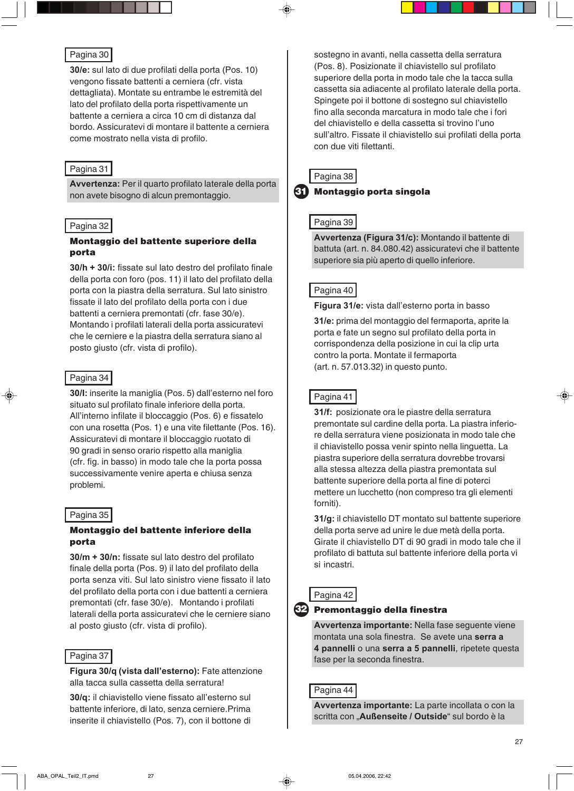#### Pagina 30

**30/e:** sul lato di due profilati della porta (Pos. 10) vengono fissate battenti a cerniera (cfr. vista dettagliata). Montate su entrambe le estremità del lato del profilato della porta rispettivamente un battente a cerniera a circa 10 cm di distanza dal bordo. Assicuratevi di montare il battente a cerniera come mostrato nella vista di profilo.

### Pagina 31

**Avvertenza:** Per il quarto profilato laterale della porta non avete bisogno di alcun premontaggio.

## Pagina 32

## **Montaggio del battente superiore della porta**

**30/h + 30/i:** fissate sul lato destro del profilato finale della porta con foro (pos. 11) il lato del profilato della porta con la piastra della serratura. Sul lato sinistro fissate il lato del profilato della porta con i due battenti a cerniera premontati (cfr. fase 30/e). Montando i profilati laterali della porta assicuratevi che le cerniere e la piastra della serratura siano al posto giusto (cfr. vista di profilo).

#### Pagina 34

**30/I:** inserite la maniglia (Pos. 5) dall'esterno nel foro situato sul profilato finale inferiore della porta. All'interno infilate il bloccaggio (Pos. 6) e fissatelo con una rosetta (Pos. 1) e una vite filettante (Pos. 16). Assicuratevi di montare il bloccaggio ruotato di 90 gradi in senso orario rispetto alla maniglia (cfr. fig. in basso) in modo tale che la porta possa successivamente venire aperta e chiusa senza problemi.

#### Pagina 35

## **Montaggio del battente inferiore della porta**

**30/m + 30/n:** fissate sul lato destro del profilato finale della porta (Pos. 9) il lato del profilato della porta senza viti. Sul lato sinistro viene fissato il lato del profilato della porta con i due battenti a cerniera premontati (cfr. fase 30/e). Montando i profilati laterali della porta assicuratevi che le cerniere siano al posto giusto (cfr. vista di profilo).

#### Pagina 37

**Figura 30/q (vista dall'esterno):** Fate attenzione alla tacca sulla cassetta della serratura!

**30/q:** il chiavistello viene fissato all'esterno sul battente inferiore, di lato, senza cerniere.Prima inserite il chiavistello (Pos. 7), con il bottone di

sostegno in avanti, nella cassetta della serratura (Pos. 8). Posizionate il chiavistello sul profilato superiore della porta in modo tale che la tacca sulla cassetta sia adiacente al profilato laterale della porta. Spingete poi il bottone di sostegno sul chiavistello fino alla seconda marcatura in modo tale che i fori del chiavistello e della cassetta si trovino l'uno sull'altro. Fissate il chiavistello sui profilati della porta con due viti filettanti.

## Pagina 38

#### **Montaggio porta singola** 81

## Pagina 39

**Avvertenza (Figura 31/c):** Montando il battente di battuta (art. n. 84.080.42) assicuratevi che il battente superiore sia più aperto di quello inferiore.

## Pagina 40

**Figura 31/e:** vista dall'esterno porta in basso

**31/e:** prima del montaggio del fermaporta, aprite la porta e fate un segno sul profilato della porta in corrispondenza della posizione in cui la clip urta contro la porta. Montate il fermaporta (art. n. 57.013.32) in questo punto.

## Pagina 41

**31/f:** posizionate ora le piastre della serratura premontate sul cardine della porta. La piastra inferiore della serratura viene posizionata in modo tale che il chiavistello possa venir spinto nella linguetta. La piastra superiore della serratura dovrebbe trovarsi alla stessa altezza della piastra premontata sul battente superiore della porta al fine di poterci mettere un lucchetto (non compreso tra gli elementi forniti).

**31/g:** il chiavistello DT montato sul battente superiore della porta serve ad unire le due metà della porta. Girate il chiavistello DT di 90 gradi in modo tale che il profilato di battuta sul battente inferiore della porta vi si incastri.

## Pagina 42

## **Premontaggio della finestra** 32

**Avvertenza importante:** Nella fase seguente viene montata una sola finestra. Se avete una **serra a 4 pannelli** o una **serra a 5 pannelli**, ripetete questa fase per la seconda finestra.

#### Pagina 44

**Avvertenza importante:** La parte incollata o con la scritta con "Außenseite / Outside" sul bordo è la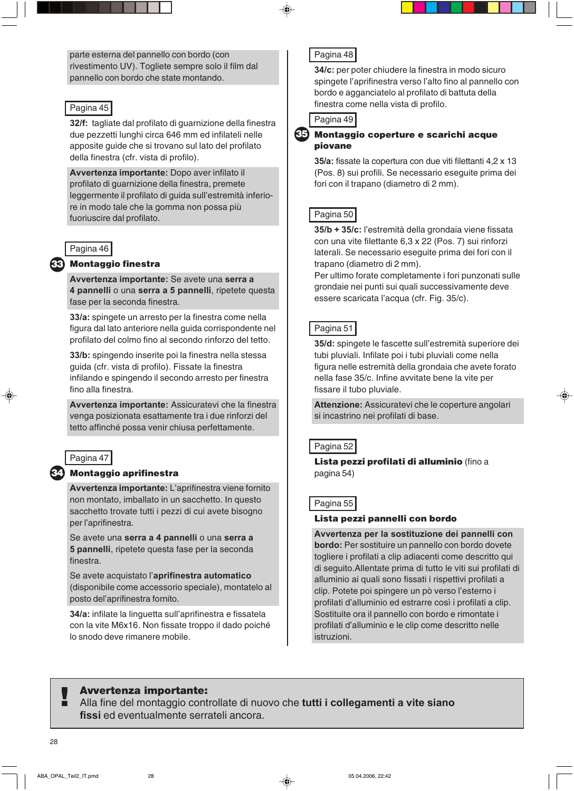parte esterna del pannello con bordo (con rivestimento UV). Togliete sempre solo il film dal pannello con bordo che state montando.

## Pagina 45

**32/f:** tagliate dal profilato di guarnizione della finestra due pezzetti lunghi circa 646 mm ed infilateli nelle apposite guide che si trovano sul lato del profilato della finestra (cfr. vista di profilo).

**Avvertenza importante:** Dopo aver infilato il profilato di guarnizione della finestra, premete leggermente il profilato di guida sull'estremità inferiore in modo tale che la gomma non possa più fuoriuscire dal profilato.

#### Pagina 46

#### **Montaggio finestra** 33

**Avvertenza importante:** Se avete una **serra a 4 pannelli** o una **serra a 5 pannelli**, ripetete questa fase per la seconda finestra.

**33/a:** spingete un arresto per la finestra come nella figura dal lato anteriore nella guida corrispondente nel profilato del colmo fino al secondo rinforzo del tetto.

**33/b:** spingendo inserite poi la finestra nella stessa guida (cfr. vista di profilo). Fissate la finestra infilando e spingendo il secondo arresto per finestra fino alla finestra.

**Avvertenza importante:** Assicuratevi che la finestra venga posizionata esattamente tra i due rinforzi del tetto affinché possa venir chiusa perfettamente.

## Pagina 47

 $\bigcirc$ 

#### 34 **Montaggio aprifinestra**

**Avvertenza importante:** L'aprifinestra viene fornito non montato, imballato in un sacchetto. In questo sacchetto trovate tutti i pezzi di cui avete bisogno per l'aprifinestra.

Se avete una **serra a 4 pannelli** o una **serra a 5 pannelli**, ripetete questa fase per la seconda finestra.

Se avete acquistato l'**aprifinestra automatico** (disponibile come accessorio speciale), montatelo al posto del'aprifinestra fornito.

**34/a:** infilate la linguetta sull'aprifinestra e fissatela con la vite M6x16. Non fissate troppo il dado poiché lo snodo deve rimanere mobile.

## Pagina 48

**34/c:** per poter chiudere la finestra in modo sicuro spingete l'aprifinestra verso l'alto fino al pannello con bordo e agganciatelo al profilato di battuta della finestra come nella vista di profilo.



## 35 **Montaggio coperture e scarichi acque piovane**

**35/a:** fissate la copertura con due viti filettanti 4,2 x 13 (Pos. 8) sui profili. Se necessario eseguite prima dei fori con il trapano (diametro di 2 mm).

## Pagina 50

**35/b + 35/c:** l'estremità della grondaia viene fissata con una vite filettante 6,3 x 22 (Pos. 7) sui rinforzi laterali. Se necessario eseguite prima dei fori con il trapano (diametro di 2 mm).

Per ultimo forate completamente i fori punzonati sulle grondaie nei punti sui quali successivamente deve essere scaricata l'acqua (cfr. Fig. 35/c).

## Pagina 51

**35/d:** spingete le fascette sull'estremità superiore dei tubi pluviali. Infilate poi i tubi pluviali come nella figura nelle estremità della grondaia che avete forato nella fase 35/c. Infine avvitate bene la vite per fissare il tubo pluviale.

**Attenzione:** Assicuratevi che le coperture angolari si incastrino nei profilati di base.

### Pagina 52

**Lista pezzi profilati di alluminio** (fino a pagina 54)

#### Pagina 55

### **Lista pezzi pannelli con bordo**

**Avvertenza per la sostituzione dei pannelli con bordo:** Per sostituire un pannello con bordo dovete togliere i profilati a clip adiacenti come descritto qui di seguito.Allentate prima di tutto le viti sui profilati di alluminio ai quali sono fissati i rispettivi profilati a clip. Potete poi spingere un pò verso l'esterno i profilati d'alluminio ed estrarre così i profilati a clip. Sostituite ora il pannello con bordo e rimontate i profilati d'alluminio e le clip come descritto nelle istruzioni.

## **Avvertenza importante:**

Alla fine del montaggio controllate di nuovo che **tutti i collegamenti a vite siano fissi** ed eventualmente serrateli ancora. !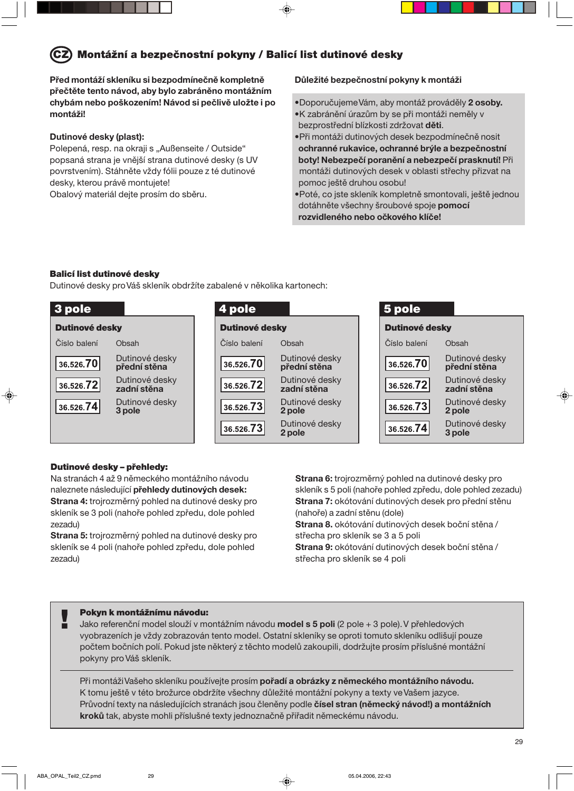#### **Montážní a bezpečnostní pokyny / Balicí list dutinové desky** CZ

**Před montáží skleníku si bezpodmínečně kompletně přečtěte tento návod, aby bylo zabráněno montážním chybám nebo poškozením! Návod si pečlivě uložte i po montáži!**

## **Dutinové desky (plast):**

Polepená, resp. na okraji s "Außenseite / Outside" popsaná strana je vnější strana dutinové desky (s UV povrstvením). Stáhněte vždy fólii pouze z té dutinové desky, kterou právě montujete! Obalový materiál dejte prosím do sběru.

## **Důležité bezpečnostní pokyny k montáži**

- •Doporučujeme Vám, aby montáž prováděly **2 osoby.** •K zabránění úrazům by se při montáži neměly v bezprostřední blízkosti zdržovat **děti**.
- •Při montáži dutinových desek bezpodmínečně nosit  **ochranné rukavice, ochranné brýle a bezpečnostní boty! Nebezpečí poranění a nebezpečí prasknutí!** Při montáži dutinových desek v oblasti střechy přizvat na pomoc ještě druhou osobu!

•Poté, co jste skleník kompletně smontovali, ještě jednou dotáhněte všechny šroubové spoje **pomocí rozvidleného nebo očkového klíče!**

## **Balicí list dutinové desky**

Dutinové desky pro Váš skleník obdržíte zabalené v několika kartonech:



## **Dutinové desky – přehledy:**

⊕

Na stranách 4 až 9 německého montážního návodu naleznete následující **přehledy dutinových desek: Strana 4:** trojrozměrný pohled na dutinové desky pro skleník se 3 poli (nahoře pohled zpředu, dole pohled zezadu)

**Strana 5:** trojrozměrný pohled na dutinové desky pro skleník se 4 poli (nahoře pohled zpředu, dole pohled zezadu)

**Strana 6:** trojrozměrný pohled na dutinové desky pro skleník s 5 poli (nahoře pohled zpředu, dole pohled zezadu) **Strana 7:** okótování dutinových desek pro přední stěnu (nahoře) a zadní stěnu (dole)

**Strana 8.** okótování dutinových desek boční stěna / střecha pro skleník se 3 a 5 poli

**Strana 9:** okótování dutinových desek boční stěna / střecha pro skleník se 4 poli

#### **Pokyn k montážnímu návodu:**

Jako referenční model slouží v montážním návodu **model s 5 poli** (2 pole + 3 pole). V přehledových vyobrazeních je vždy zobrazován tento model. Ostatní skleníky se oproti tomuto skleníku odlišují pouze počtem bočních polí. Pokud jste některý z těchto modelů zakoupili, dodržujte prosím příslušné montážní pokyny pro Váš skleník. !

Při montáži Vašeho skleníku používejte prosím **pořadí a obrázky z německého montážního návodu.** K tomu ještě v této brožurce obdržíte všechny důležité montážní pokyny a texty ve Vašem jazyce. Průvodní texty na následujících stranách jsou členěny podle **čísel stran (německý návod!) a montážních kroků** tak, abyste mohli příslušné texty jednoznačně přiřadit německému návodu.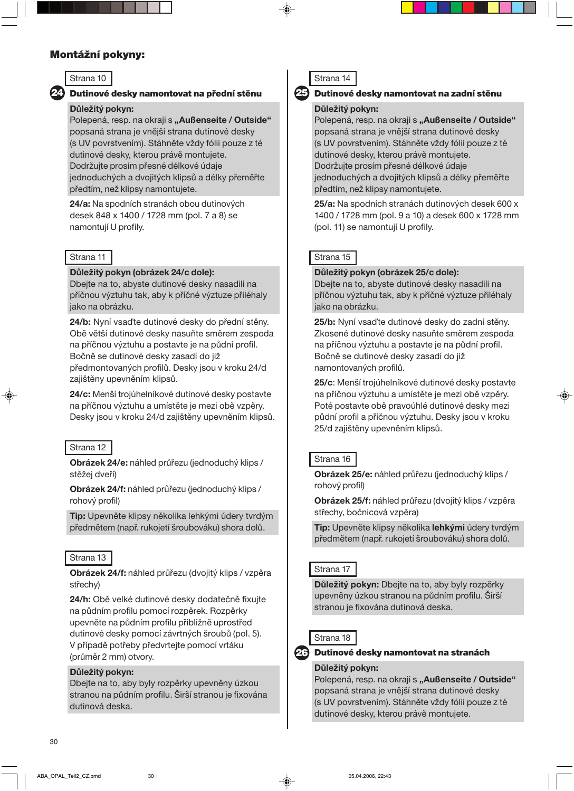## **Montážní pokyny:**

## Strana 10

## **Dutinové desky namontovat na přední stěnu** 24 25

#### **Důležitý pokyn:**

Polepená, resp. na okraji s "Außenseite / Outside" popsaná strana je vnější strana dutinové desky (s UV povrstvením). Stáhněte vždy fólii pouze z té dutinové desky, kterou právě montujete. Dodržujte prosím přesné délkové údaje jednoduchých a dvojitých klipsů a délky přeměřte předtím, než klipsy namontujete.

**24/a:** Na spodních stranách obou dutinových desek 848 x 1400 / 1728 mm (pol. 7 a 8) se namontují U profily.

## Strana 11

#### **Důležitý pokyn (obrázek 24/c dole):**

Dbejte na to, abyste dutinové desky nasadili na příčnou výztuhu tak, aby k příčné výztuze přiléhaly jako na obrázku.

**24/b:** Nyní vsaďte dutinové desky do přední stěny. Obě větší dutinové desky nasuňte směrem zespoda na příčnou výztuhu a postavte je na půdní profil. Bočně se dutinové desky zasadí do již předmontovaných profilů. Desky jsou v kroku 24/d zajištěny upevněním klipsů.

**24/c:** Menší trojúhelníkové dutinové desky postavte na příčnou výztuhu a umístěte je mezi obě vzpěry. Desky jsou v kroku 24/d zajištěny upevněním klipsů.

## Strana 12

 $\bigcirc$ 

**Obrázek 24/e:** náhled průřezu (jednoduchý klips / stěžej dveří)

**Obrázek 24/f:** náhled průřezu (jednoduchý klips / rohový profil)

**Tip:** Upevněte klipsy několika lehkými údery tvrdým předmětem (např. rukojetí šroubováku) shora dolů.

## Strana 13

**Obrázek 24/f:** náhled průřezu (dvojitý klips / vzpěra střechy)

**24/h:** Obě velké dutinové desky dodatečně fixujte na půdním profilu pomocí rozpěrek. Rozpěrky upevněte na půdním profilu přibližně uprostřed dutinové desky pomocí závrtných šroubů (pol. 5). V případě potřeby předvrtejte pomocí vrtáku (průměr 2 mm) otvory.

#### **Důležitý pokyn:**

Dbejte na to, aby byly rozpěrky upevněny úzkou stranou na půdním profilu. Širší stranou je fixována dutinová deska.



#### **Dutinové desky namontovat na zadní stěnu**

## **Důležitý pokyn:**

Polepená, resp. na okraji s "Außenseite / Outside" popsaná strana je vnější strana dutinové desky (s UV povrstvením). Stáhněte vždy fólii pouze z té dutinové desky, kterou právě montujete. Dodržujte prosím přesné délkové údaje jednoduchých a dvojitých klipsů a délky přeměřte předtím, než klipsy namontujete.

**25/a:** Na spodních stranách dutinových desek 600 x 1400 / 1728 mm (pol. 9 a 10) a desek 600 x 1728 mm (pol. 11) se namontují U profily.

#### Strana 15

**Důležitý pokyn (obrázek 25/c dole):**

Dbejte na to, abyste dutinové desky nasadili na příčnou výztuhu tak, aby k příčné výztuze přiléhaly jako na obrázku.

**25/b:** Nyní vsaďte dutinové desky do zadní stěny. Zkosené dutinové desky nasuňte směrem zespoda na příčnou výztuhu a postavte je na půdní profil. Bočně se dutinové desky zasadí do již namontovaných profilů.

**25/c**: Menší trojúhelníkové dutinové desky postavte na příčnou výztuhu a umístěte je mezi obě vzpěry. Poté postavte obě pravoúhlé dutinové desky mezi půdní profil a příčnou výztuhu. Desky jsou v kroku 25/d zajištěny upevněním klipsů.

## Strana 16

**Obrázek 25/e:** náhled průřezu (jednoduchý klips / rohový profil)

**Obrázek 25/f:** náhled průřezu (dvojitý klips / vzpěra střechy, bočnicová vzpěra)

**Tip:** Upevněte klipsy několika **lehkými** údery tvrdým předmětem (např. rukojetí šroubováku) shora dolů.

## Strana 17

**Důležitý pokyn:** Dbejte na to, aby byly rozpěrky upevněny úzkou stranou na půdním profilu. Širší stranou je fixována dutinová deska.

#### Strana 18

**Dutinové desky namontovat na stranách** 26

#### **Důležitý pokyn:**

Polepená, resp. na okraji s "Außenseite / Outside" popsaná strana je vnější strana dutinové desky (s UV povrstvením). Stáhněte vždy fólii pouze z té dutinové desky, kterou právě montujete.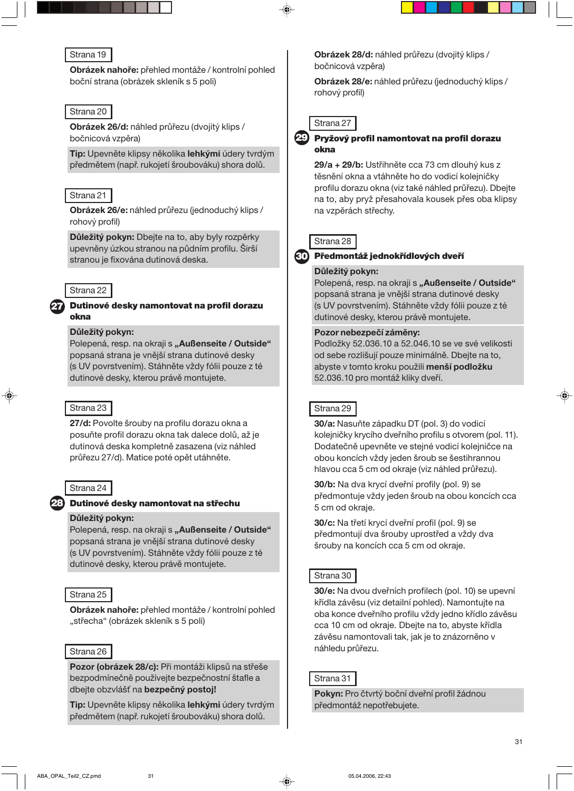**Obrázek nahoře:** přehled montáže / kontrolní pohled boční strana (obrázek skleník s 5 poli)

## Strana 20

**Obrázek 26/d:** náhled průřezu (dvojitý klips / bočnicová vzpěra)

**Tip:** Upevněte klipsy několika **lehkými** údery tvrdým předmětem (např. rukojetí šroubováku) shora dolů.

#### Strana 21

**Obrázek 26/e:** náhled průřezu (jednoduchý klips / rohový profil)

**Důležitý pokyn:** Dbejte na to, aby byly rozpěrky upevněny úzkou stranou na půdním profilu. Širší stranou je fixována dutinová deska.

### Strana 22

#### **Dutinové desky namontovat na profil dorazu okna** 27

## **Důležitý pokyn:**

Polepená, resp. na okraji s "Außenseite / Outside" popsaná strana je vnější strana dutinové desky (s UV povrstvením). Stáhněte vždy fólii pouze z té dutinové desky, kterou právě montujete.

#### Strana 23

**27/d:** Povolte šrouby na profilu dorazu okna a posuňte profil dorazu okna tak dalece dolů, až je dutinová deska kompletně zasazena (viz náhled průřezu 27/d). Matice poté opět utáhněte.

#### Strana 24

28

### **Dutinové desky namontovat na střechu**

#### **Důležitý pokyn:**

Polepená, resp. na okraji s "Außenseite / Outside" popsaná strana je vnější strana dutinové desky (s UV povrstvením). Stáhněte vždy fólii pouze z té dutinové desky, kterou právě montujete.

#### Strana 25

**Obrázek nahoře:** přehled montáže / kontrolní pohled "střecha" (obrázek skleník s 5 poli)

#### Strana 26

**Pozor (obrázek 28/c):** Při montáži klipsů na střeše bezpodmínečně používejte bezpečnostní štafle a dbejte obzvlášť na **bezpečný postoj!**

**Tip:** Upevněte klipsy několika **lehkými** údery tvrdým předmětem (např. rukojetí šroubováku) shora dolů.

**Obrázek 28/d:** náhled průřezu (dvojitý klips / bočnicová vzpěra)

**Obrázek 28/e:** náhled průřezu (jednoduchý klips / rohový profil)

#### Strana 27

#### **Pryžový profil namontovat na profil dorazu okna** 29

**29/a + 29/b:** Ustřihněte cca 73 cm dlouhý kus z těsnění okna a vtáhněte ho do vodicí kolejničky profilu dorazu okna (viz také náhled průřezu). Dbejte na to, aby pryž přesahovala kousek přes oba klipsy na vzpěrách střechy.

#### Strana 28



## **Předmontáž jednokřídlových dveří**

#### **Důležitý pokyn:**

Polepená, resp. na okraji s "Außenseite / Outside" popsaná strana je vnější strana dutinové desky (s UV povrstvením). Stáhněte vždy fólii pouze z té dutinové desky, kterou právě montujete.

#### **Pozor nebezpečí záměny:**

Podložky 52.036.10 a 52.046.10 se ve své velikosti od sebe rozlišují pouze minimálně. Dbejte na to, abyste v tomto kroku použili **menší podložku** 52.036.10 pro montáž kliky dveří.

## Strana 29

**30/a:** Nasuňte západku DT (pol. 3) do vodicí kolejničky krycího dveřního profilu s otvorem (pol. 11). Dodatečně upevněte ve stejné vodicí kolejničce na obou koncích vždy jeden šroub se šestihrannou hlavou cca 5 cm od okraje (viz náhled průřezu).

**30/b:** Na dva krycí dveřní profily (pol. 9) se předmontuje vždy jeden šroub na obou koncích cca 5 cm od okraje.

**30/c:** Na třetí krycí dveřní profil (pol. 9) se předmontují dva šrouby uprostřed a vždy dva šrouby na koncích cca 5 cm od okraje.

## Strana 30

**30/e:** Na dvou dveřních profilech (pol. 10) se upevní křídla závěsu (viz detailní pohled). Namontujte na oba konce dveřního profilu vždy jedno křídlo závěsu cca 10 cm od okraje. Dbejte na to, abyste křídla závěsu namontovali tak, jak je to znázorněno v náhledu průřezu.

### Strana 31

**Pokyn:** Pro čtvrtý boční dveřní profil žádnou předmontáž nepotřebujete.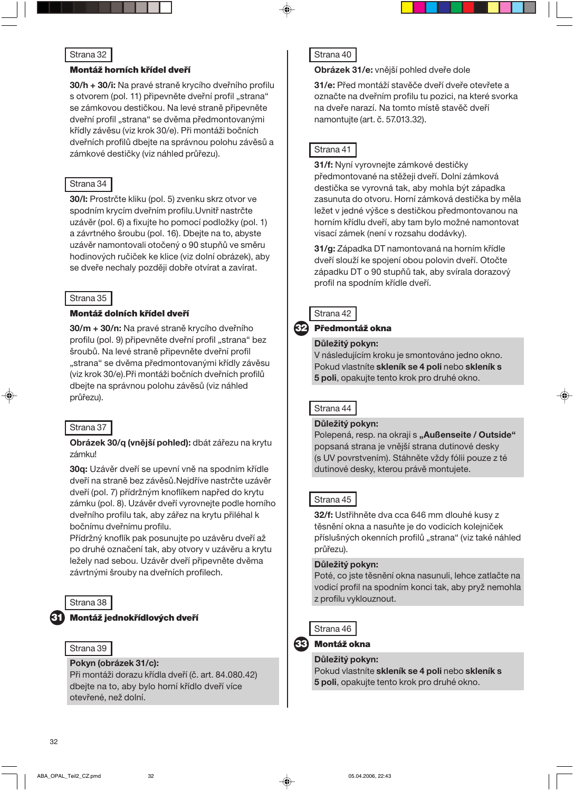#### **Montáž horních křídel dveří**

**30/h + 30/i:** Na pravé straně krycího dveřního profilu s otvorem (pol. 11) připevněte dveřní profil "strana" se zámkovou destičkou. Na levé straně připevněte dveřní profil "strana" se dvěma předmontovanými křídly závěsu (viz krok 30/e). Při montáži bočních dveřních profilů dbejte na správnou polohu závěsů a zámkové destičky (viz náhled průřezu).

## Strana 34

**30/l:** Prostrčte kliku (pol. 5) zvenku skrz otvor ve spodním krycím dveřním profilu.Uvnitř nastrčte uzávěr (pol. 6) a fixujte ho pomocí podložky (pol. 1) a závrtného šroubu (pol. 16). Dbejte na to, abyste uzávěr namontovali otočený o 90 stupňů ve směru hodinových ručiček ke klice (viz dolní obrázek), aby se dveře nechaly později dobře otvírat a zavírat.

## Strana 35

## **Montáž dolních křídel dveří**

**30/m + 30/n:** Na pravé straně krycího dveřního profilu (pol. 9) připevněte dveřní profil "strana" bez šroubů. Na levé straně připevněte dveřní profil "strana" se dvěma předmontovanými křídly závěsu (viz krok 30/e).Při montáži bočních dveřních profilů dbejte na správnou polohu závěsů (viz náhled průřezu).

## Strana 37

**Obrázek 30/q (vnější pohled):** dbát zářezu na krytu zámku!

**30q:** Uzávěr dveří se upevní vně na spodním křídle dveří na straně bez závěsů.Nejdříve nastrčte uzávěr dveří (pol. 7) přídržným knoflíkem napřed do krytu zámku (pol. 8). Uzávěr dveří vyrovnejte podle horního dveřního profilu tak, aby zářez na krytu přiléhal k bočnímu dveřnímu profilu.

Přídržný knoflík pak posunujte po uzávěru dveří až po druhé označení tak, aby otvory v uzávěru a krytu ležely nad sebou. Uzávěr dveří připevněte dvěma závrtnými šrouby na dveřních profilech.

Strana 38

#### **Montáž jednokřídlových dveří** 31



#### **Pokyn (obrázek 31/c):**

Při montáži dorazu křídla dveří (č. art. 84.080.42) dbejte na to, aby bylo horní křídlo dveří více otevřené, než dolní.

## Strana 40

**Obrázek 31/e:** vnější pohled dveře dole

**31/e:** Před montáží stavěče dveří dveře otevřete a označte na dveřním profilu tu pozici, na které svorka na dveře narazí. Na tomto místě stavěč dveří namontujte (art. č. 57.013.32).

## Strana 41

**31/f:** Nyní vyrovnejte zámkové destičky předmontované na stěžeji dveří. Dolní zámková destička se vyrovná tak, aby mohla být západka zasunuta do otvoru. Horní zámková destička by měla ležet v jedné výšce s destičkou předmontovanou na horním křídlu dveří, aby tam bylo možné namontovat visací zámek (není v rozsahu dodávky).

**31/g:** Západka DT namontovaná na horním křídle dveří slouží ke spojení obou polovin dveří. Otočte západku DT o 90 stupňů tak, aby svírala dorazový profil na spodním křídle dveří.



#### **Předmontáž okna** 32

#### **Důležitý pokyn:**

V následujícím kroku je smontováno jedno okno. Pokud vlastníte **skleník se 4 poli** nebo **skleník s 5 poli**, opakujte tento krok pro druhé okno.



#### **Důležitý pokyn:**

Polepená, resp. na okraji s "Außenseite / Outside" popsaná strana je vnější strana dutinové desky (s UV povrstvením). Stáhněte vždy fólii pouze z té dutinové desky, kterou právě montujete.

#### Strana 45

**32/f:** Ustřihněte dva cca 646 mm dlouhé kusy z těsnění okna a nasuňte je do vodicích kolejniček příslušných okenních profilů "strana" (viz také náhled průřezu).

#### **Důležitý pokyn:**

Poté, co jste těsnění okna nasunuli, lehce zatlačte na vodicí profil na spodním konci tak, aby pryž nemohla z profilu vyklouznout.



හ

#### **Montáž okna**

#### **Důležitý pokyn:**

Pokud vlastníte **skleník se 4 poli** nebo **skleník s 5 poli**, opakujte tento krok pro druhé okno.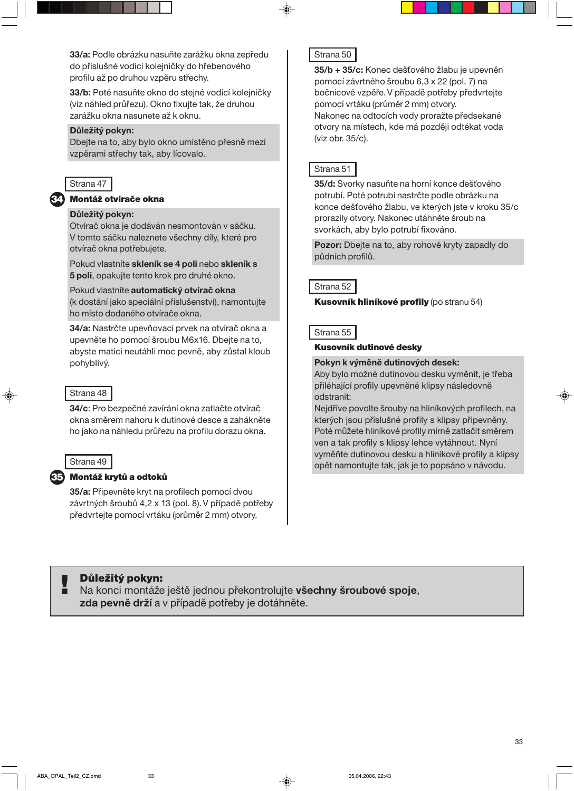**33/a:** Podle obrázku nasuňte zarážku okna zepředu do příslušné vodicí kolejničky do hřebenového profilu až po druhou vzpěru střechy.

**33/b:** Poté nasuňte okno do stejné vodicí kolejničky (viz náhled průřezu). Okno fixujte tak, že druhou zarážku okna nasunete až k oknu.

## **Důležitý pokyn:**

Dbejte na to, aby bylo okno umístěno přesně mezi vzpěrami střechy tak, aby lícovalo.

#### Strana 47

34

#### **Montáž otvírače okna**

#### **Důležitý pokyn:**

Otvírač okna je dodáván nesmontován v sáčku. V tomto sáčku naleznete všechny díly, které pro otvírač okna potřebujete.

Pokud vlastníte **skleník se 4 poli** nebo **skleník s 5 poli**, opakujte tento krok pro druhé okno.

Pokud vlastníte **automatický otvírač okna** (k dostání jako speciální příslušenství), namontujte ho místo dodaného otvírače okna.

**34/a:** Nastrčte upevňovací prvek na otvírač okna a upevněte ho pomocí šroubu M6x16. Dbejte na to, abyste matici neutáhli moc pevně, aby zůstal kloub pohyblivý.

## Strana 48

**34/c**: Pro bezpečné zavírání okna zatlačte otvírač okna směrem nahoru k dutinové desce a zahákněte ho jako na náhledu průřezu na profilu dorazu okna.



## 35 **Montáž krytů a odtoků**

**35/a:** Připevněte kryt na profilech pomocí dvou závrtných šroubů 4,2 x 13 (pol. 8). V případě potřeby předvrtejte pomocí vrtáku (průměr 2 mm) otvory.

## Strana 50

**35/b + 35/c:** Konec dešťového žlabu je upevněn pomocí závrtného šroubu 6,3 x 22 (pol. 7) na bočnicové vzpěře. V případě potřeby předvrtejte pomocí vrtáku (průměr 2 mm) otvory. Nakonec na odtocích vody proražte předsekané otvory na místech, kde má později odtékat voda (viz obr. 35/c).

## Strana 51

**35/d:** Svorky nasuňte na horní konce dešťového potrubí. Poté potrubí nastrčte podle obrázku na konce dešťového žlabu, ve kterých jste v kroku 35/c prorazily otvory. Nakonec utáhněte šroub na svorkách, aby bylo potrubí fixováno.

**Pozor:** Dbejte na to, aby rohové kryty zapadly do půdních profilů.

Strana 52

**Kusovník hliníkové profily** (po stranu 54)

#### Strana 55

#### **Kusovník dutinové desky**

#### **Pokyn k výměně dutinových desek:**

Aby bylo možné dutinovou desku vyměnit, je třeba přiléhající profily upevněné klipsy následovně odstranit:

Nejdříve povolte šrouby na hliníkových profilech, na kterých jsou příslušné profily s klipsy připevněny. Poté můžete hliníkové profily mírně zatlačit směrem ven a tak profily s klipsy lehce vytáhnout. Nyní vyměňte dutinovou desku a hliníkové profily a klipsy opět namontujte tak, jak je to popsáno v návodu.



Na konci montáže ještě jednou překontrolujte **všechny šroubové spoje**, **zda pevně drží** a v případě potřeby je dotáhněte. !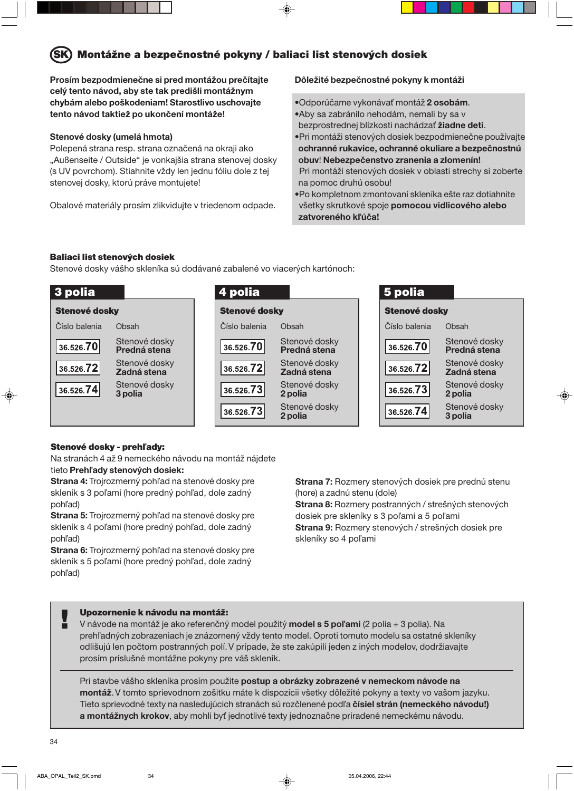#### **Montážne a bezpečnostné pokyny / baliaci list stenových dosiek** SK

**Prosím bezpodmienečne si pred montážou prečítajte celý tento návod, aby ste tak predišli montážnym chybám alebo poškodeniam! Starostlivo uschovajte tento návod taktiež po ukončení montáže!**

## **Stenové dosky (umelá hmota)**

Polepená strana resp. strana označená na okraji ako "Außenseite / Outside" je vonkajšia strana stenovej dosky (s UV povrchom). Stiahnite vždy len jednu fóliu dole z tej stenovej dosky, ktorú práve montujete!

Obalové materiály prosím zlikvidujte v triedenom odpade.

#### **Dôležité bezpečnostné pokyny k montáži**

•Odporúčame vykonávať montáž **2 osobám**. •Aby sa zabránilo nehodám, nemali by sa v bezprostrednej blízkosti nachádzať **žiadne deti**.

•Pri montáži stenových dosiek bezpodmienečne používajte  **ochranné rukavice, ochranné okuliare a bezpečnostnú obuv**! **Nebezpečenstvo zranenia a zlomenín!**

 Pri montáži stenových dosiek v oblasti strechy si zoberte na pomoc druhú osobu!

•Po kompletnom zmontovaní skleníka ešte raz dotiahnite všetky skrutkové spoje **pomocou vidlicového alebo zatvoreného kľúča!**

## **Baliaci list stenových dosiek**

Stenové dosky vášho skleníka sú dodávané zabalené vo viacerých kartónoch:

#### **5 polia 3 polia 4 polia Stenové dosky Stenové dosky Stenové dosky** Číslo balenia Obsah Číslo balenia Obsah Číslo balenia Obsah Stenové dosky Stenové dosky Stenové dosky 36.526.70 36.526.70 36.526.70 **Predná stena Predná stena Predná stena** Stenové dosky Stenové dosky Stenové dosky 36.526.72 36.526.72 36.526.72 **Zadná stena Zadná stena Zadná stena** Stenové dosky Stenové dosky Stenové dosky 36.526.74 36.526.73 36.526.73 **3 polia 2 polia 2 polia** Stenové dosky Stenové dosky 36.526.73 36.526.74 **2 polia 3 polia**

## **Stenové dosky - prehľady:**

⊕

Na stranách 4 až 9 nemeckého návodu na montáž nájdete tieto **Prehľady stenových dosiek:**

**Strana 4:** Trojrozmerný pohľad na stenové dosky pre skleník s 3 poľami (hore predný pohľad, dole zadný pohľad)

**Strana 5:** Trojrozmerný pohľad na stenové dosky pre skleník s 4 poľami (hore predný pohľad, dole zadný pohľad)

**Strana 6:** Trojrozmerný pohľad na stenové dosky pre skleník s 5 poľami (hore predný pohľad, dole zadný pohľad)

**Strana 7:** Rozmery stenových dosiek pre prednú stenu (hore) a zadnú stenu (dole)

**Strana 8:** Rozmery postranných / strešných stenových dosiek pre skleníky s 3 poľami a 5 poľami **Strana 9:** Rozmery stenových / strešných dosiek pre skleníky so 4 poľami

#### **Upozornenie k návodu na montáž:**

V návode na montáž je ako referenčný model použitý **model s 5 poľami** (2 polia + 3 polia). Na prehľadných zobrazeniach je znázornený vždy tento model. Oproti tomuto modelu sa ostatné skleníky odlišujú len počtom postranných polí. V prípade, že ste zakúpili jeden z iných modelov, dodržiavajte prosím príslušné montážne pokyny pre váš skleník. !

Pri stavbe vášho skleníka prosím použite **postup a obrázky zobrazené v nemeckom návode na montáž**. V tomto sprievodnom zošitku máte k dispozícii všetky dôležité pokyny a texty vo vašom jazyku. Tieto sprievodné texty na nasledujúcich stranách sú rozčlenené podľa **čísiel strán (nemeckého návodu!) a montážnych krokov**, aby mohli byť jednotlivé texty jednoznačne priradené nemeckému návodu.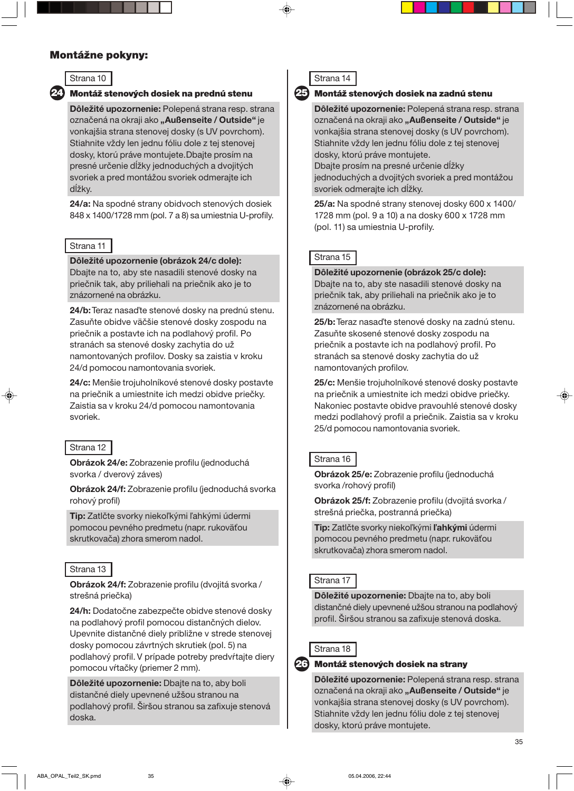## **Montážne pokyny:**



## **24) Montáž stenových dosiek na prednú stenu (25**

**Dôležité upozornenie:** Polepená strana resp. strana označená na okraji ako "Außenseite / Outside" je vonkajšia strana stenovej dosky (s UV povrchom). Stiahnite vždy len jednu fóliu dole z tej stenovej dosky, ktorú práve montujete.Dbajte prosím na presné určenie dĺžky jednoduchých a dvojitých svoriek a pred montážou svoriek odmerajte ich dĺžky.

**24/a:** Na spodné strany obidvoch stenových dosiek 848 x 1400/1728 mm (pol. 7 a 8) sa umiestnia U-profily.

## Strana 11

#### **Dôležité upozornenie (obrázok 24/c dole):**

Dbajte na to, aby ste nasadili stenové dosky na priečnik tak, aby priliehali na priečnik ako je to znázornené na obrázku.

**24/b:** Teraz nasaďte stenové dosky na prednú stenu. Zasuňte obidve väčšie stenové dosky zospodu na priečnik a postavte ich na podlahový profil. Po stranách sa stenové dosky zachytia do už namontovaných profilov. Dosky sa zaistia v kroku 24/d pomocou namontovania svoriek.

**24/c:** Menšie trojuholníkové stenové dosky postavte na priečnik a umiestnite ich medzi obidve priečky. Zaistia sa v kroku 24/d pomocou namontovania svoriek.

## Strana 12

 $\bigcirc$ 

**Obrázok 24/e:** Zobrazenie profilu (jednoduchá svorka / dverový záves)

**Obrázok 24/f:** Zobrazenie profilu (jednoduchá svorka rohový profil)

**Tip:** Zatlčte svorky niekoľkými ľahkými údermi pomocou pevného predmetu (napr. rukoväťou skrutkovača) zhora smerom nadol.

## Strana 13

**Obrázok 24/f:** Zobrazenie profilu (dvojitá svorka / strešná priečka)

**24/h:** Dodatočne zabezpečte obidve stenové dosky na podlahový profil pomocou distančných dielov. Upevnite distančné diely približne v strede stenovej dosky pomocou závrtných skrutiek (pol. 5) na podlahový profil. V prípade potreby predvŕtajte diery pomocou vŕtačky (priemer 2 mm).

**Dôležité upozornenie:** Dbajte na to, aby boli distančné diely upevnené užšou stranou na podlahový profil. Širšou stranou sa zafixuje stenová doska.



#### **Montáž stenových dosiek na zadnú stenu**

**Dôležité upozornenie:** Polepená strana resp. strana označená na okraji ako "Außenseite / Outside" je vonkajšia strana stenovej dosky (s UV povrchom). Stiahnite vždy len jednu fóliu dole z tej stenovej dosky, ktorú práve montujete. Dbajte prosím na presné určenie dĺžky jednoduchých a dvojitých svoriek a pred montážou svoriek odmerajte ich dĺžky.

**25/a:** Na spodné strany stenovej dosky 600 x 1400/ 1728 mm (pol. 9 a 10) a na dosky 600 x 1728 mm (pol. 11) sa umiestnia U-profily.

## Strana 15

**Dôležité upozornenie (obrázok 25/c dole):** Dbajte na to, aby ste nasadili stenové dosky na priečnik tak, aby priliehali na priečnik ako je to znázornené na obrázku.

**25/b:** Teraz nasaďte stenové dosky na zadnú stenu. Zasuňte skosené stenové dosky zospodu na priečnik a postavte ich na podlahový profil. Po stranách sa stenové dosky zachytia do už namontovaných profilov.

**25/c:** Menšie trojuholníkové stenové dosky postavte na priečnik a umiestnite ich medzi obidve priečky. Nakoniec postavte obidve pravouhlé stenové dosky medzi podlahový profil a priečnik. Zaistia sa v kroku 25/d pomocou namontovania svoriek.

## Strana 16

**Obrázok 25/e:** Zobrazenie profilu (jednoduchá svorka /rohový profil)

**Obrázok 25/f:** Zobrazenie profilu (dvojitá svorka / strešná priečka, postranná priečka)

**Tip:** Zatlčte svorky niekoľkými **ľahkými** údermi pomocou pevného predmetu (napr. rukoväťou skrutkovača) zhora smerom nadol.

## Strana 17

**Dôležité upozornenie:** Dbajte na to, aby boli distančné diely upevnené užšou stranou na podlahový profil. Širšou stranou sa zafixuje stenová doska.

## Strana 18

#### **Montáž stenových dosiek na strany** 26

**Dôležité upozornenie:** Polepená strana resp. strana označená na okraji ako "Außenseite / Outside" je vonkajšia strana stenovej dosky (s UV povrchom). Stiahnite vždy len jednu fóliu dole z tej stenovej dosky, ktorú práve montujete.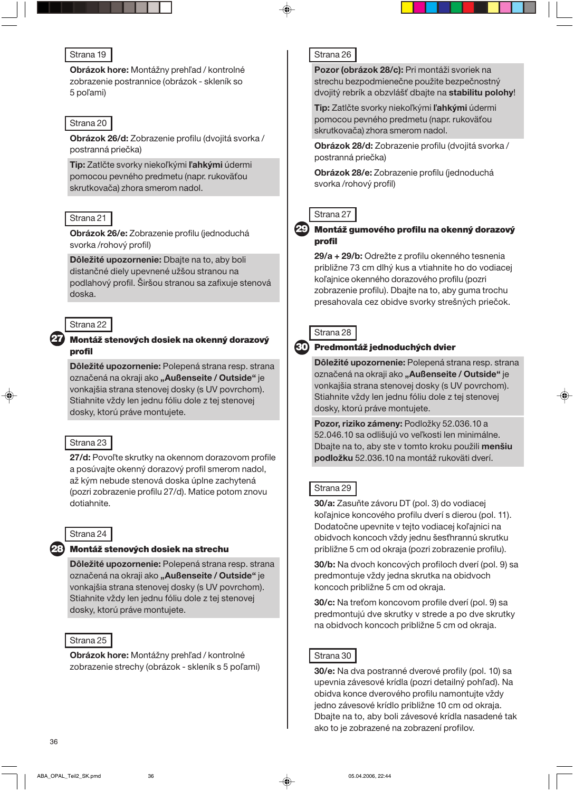**Obrázok hore:** Montážny prehľad / kontrolné zobrazenie postrannice (obrázok - skleník so 5 poľami)

#### Strana 20

**Obrázok 26/d:** Zobrazenie profilu (dvojitá svorka / postranná priečka)

**Tip:** Zatlčte svorky niekoľkými **ľahkými** údermi pomocou pevného predmetu (napr. rukoväťou skrutkovača) zhora smerom nadol.

#### Strana 21

**Obrázok 26/e:** Zobrazenie profilu (jednoduchá svorka /rohový profil)

**Dôležité upozornenie:** Dbajte na to, aby boli distančné diely upevnené užšou stranou na podlahový profil. Širšou stranou sa zafixuje stenová doska.

## Strana 22

## **Montáž stenových dosiek na okenný dorazový** 27 **profil**

**Dôležité upozornenie:** Polepená strana resp. strana označená na okraji ako "Außenseite / Outside" je vonkajšia strana stenovej dosky (s UV povrchom). Stiahnite vždy len jednu fóliu dole z tej stenovej dosky, ktorú práve montujete.

#### Strana 23

**27/d:** Povoľte skrutky na okennom dorazovom profile a posúvajte okenný dorazový profil smerom nadol, až kým nebude stenová doska úplne zachytená (pozri zobrazenie profilu 27/d). Matice potom znovu dotiahnite.

## Strana 24

28

## **Montáž stenových dosiek na strechu**

**Dôležité upozornenie:** Polepená strana resp. strana označená na okraji ako "Außenseite / Outside" je vonkajšia strana stenovej dosky (s UV povrchom). Stiahnite vždy len jednu fóliu dole z tej stenovej dosky, ktorú práve montujete.

#### Strana 25

**Obrázok hore:** Montážny prehľad / kontrolné zobrazenie strechy (obrázok - skleník s 5 poľami)

## Strana 26

**Pozor (obrázok 28/c):** Pri montáži svoriek na strechu bezpodmienečne použite bezpečnostný dvojitý rebrík a obzvlášť dbajte na **stabilitu polohy**!

**Tip:** Zatlčte svorky niekoľkými **ľahkými** údermi pomocou pevného predmetu (napr. rukoväťou skrutkovača) zhora smerom nadol.

**Obrázok 28/d:** Zobrazenie profilu (dvojitá svorka / postranná priečka)

**Obrázok 28/e:** Zobrazenie profilu (jednoduchá svorka /rohový profil)

## Strana 27

**Montáž gumového profilu na okenný dorazový profil** 29

**29/a + 29/b:** Odrežte z profilu okenného tesnenia približne 73 cm dlhý kus a vtiahnite ho do vodiacej koľajnice okenného dorazového profilu (pozri zobrazenie profilu). Dbajte na to, aby guma trochu presahovala cez obidve svorky strešných priečok.

## Strana 28

#### **Predmontáž jednoduchých dvier** 30

**Dôležité upozornenie:** Polepená strana resp. strana označená na okraji ako "Außenseite / Outside" je vonkajšia strana stenovej dosky (s UV povrchom). Stiahnite vždy len jednu fóliu dole z tej stenovej dosky, ktorú práve montujete.

**Pozor, riziko zámeny:** Podložky 52.036.10 a 52.046.10 sa odlišujú vo veľkosti len minimálne. Dbajte na to, aby ste v tomto kroku použili **menšiu podložku** 52.036.10 na montáž rukoväti dverí.

## Strana 29

**30/a:** Zasuňte závoru DT (pol. 3) do vodiacej koľajnice koncového profilu dverí s dierou (pol. 11). Dodatočne upevnite v tejto vodiacej koľajnici na obidvoch koncoch vždy jednu šesťhrannú skrutku približne 5 cm od okraja (pozri zobrazenie profilu).

**30/b:** Na dvoch koncových profiloch dverí (pol. 9) sa predmontuje vždy jedna skrutka na obidvoch koncoch približne 5 cm od okraja.

**30/c:** Na treťom koncovom profile dverí (pol. 9) sa predmontujú dve skrutky v strede a po dve skrutky na obidvoch koncoch približne 5 cm od okraja.

#### Strana 30

**30/e:** Na dva postranné dverové profily (pol. 10) sa upevnia závesové krídla (pozri detailný pohľad). Na obidva konce dverového profilu namontujte vždy jedno závesové krídlo približne 10 cm od okraja. Dbajte na to, aby boli závesové krídla nasadené tak ako to je zobrazené na zobrazení profilov.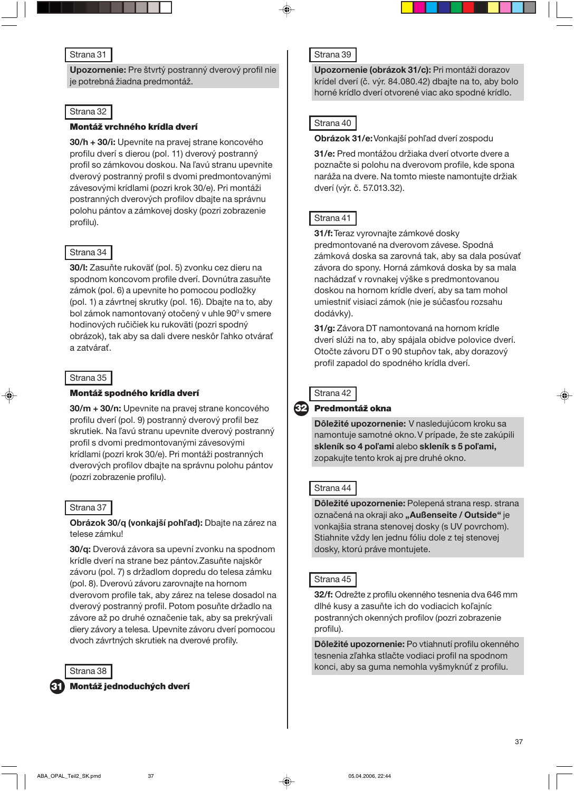**Upozornenie:** Pre štvrtý postranný dverový profil nie je potrebná žiadna predmontáž.

## Strana 32

#### **Montáž vrchného krídla dverí**

**30/h + 30/i:** Upevnite na pravej strane koncového profilu dverí s dierou (pol. 11) dverový postranný profil so zámkovou doskou. Na ľavú stranu upevnite dverový postranný profil s dvomi predmontovanými závesovými krídlami (pozri krok 30/e). Pri montáži postranných dverových profilov dbajte na správnu polohu pántov a zámkovej dosky (pozri zobrazenie profilu).

#### Strana 34

**30/l:** Zasuňte rukoväť (pol. 5) zvonku cez dieru na spodnom koncovom profile dverí. Dovnútra zasuňte zámok (pol. 6) a upevnite ho pomocou podložky (pol. 1) a závrtnej skrutky (pol. 16). Dbajte na to, aby bol zámok namontovaný otočený v uhle 90<sup>0</sup> v smere hodinových ručičiek ku rukoväti (pozri spodný obrázok), tak aby sa dali dvere neskôr ľahko otvárať a zatvárať.

#### Strana 35

#### **Montáž spodného krídla dverí**

**30/m + 30/n:** Upevnite na pravej strane koncového profilu dverí (pol. 9) postranný dverový profil bez skrutiek. Na ľavú stranu upevnite dverový postranný profil s dvomi predmontovanými závesovými krídlami (pozri krok 30/e). Pri montáži postranných dverových profilov dbajte na správnu polohu pántov (pozri zobrazenie profilu).

#### Strana 37

**Obrázok 30/q (vonkajší pohľad):** Dbajte na zárez na telese zámku!

**30/q:** Dverová závora sa upevní zvonku na spodnom krídle dverí na strane bez pántov.Zasuňte najskôr závoru (pol. 7) s držadlom dopredu do telesa zámku (pol. 8). Dverovú závoru zarovnajte na hornom dverovom profile tak, aby zárez na telese dosadol na dverový postranný profil. Potom posuňte držadlo na závore až po druhé označenie tak, aby sa prekrývali diery závory a telesa. Upevnite závoru dverí pomocou dvoch závrtných skrutiek na dverové profily.

Strana 38

31

**Montáž jednoduchých dverí**

## Strana 39

**Upozornenie (obrázok 31/c):** Pri montáži dorazov krídel dverí (č. výr. 84.080.42) dbajte na to, aby bolo horné krídlo dverí otvorené viac ako spodné krídlo.

#### Strana 40

**Obrázok 31/e:** Vonkajší pohľad dverí zospodu

**31/e:** Pred montážou držiaka dverí otvorte dvere a poznačte si polohu na dverovom profile, kde spona naráža na dvere. Na tomto mieste namontujte držiak dverí (výr. č. 57.013.32).

#### Strana 41

**31/f:** Teraz vyrovnajte zámkové dosky predmontované na dverovom závese. Spodná zámková doska sa zarovná tak, aby sa dala posúvať závora do spony. Horná zámková doska by sa mala nachádzať v rovnakej výške s predmontovanou doskou na hornom krídle dverí, aby sa tam mohol umiestniť visiaci zámok (nie je súčasťou rozsahu dodávky).

**31/g:** Závora DT namontovaná na hornom krídle dverí slúži na to, aby spájala obidve polovice dverí. Otočte závoru DT o 90 stupňov tak, aby dorazový profil zapadol do spodného krídla dverí.



32

#### **Predmontáž okna**

**Dôležité upozornenie:** V nasledujúcom kroku sa namontuje samotné okno. V prípade, že ste zakúpili **skleník so 4 poľami** alebo **skleník s 5 poľami,** zopakujte tento krok aj pre druhé okno.

#### Strana 44

**Dôležité upozornenie:** Polepená strana resp. strana označená na okraji ako "Außenseite / Outside" je vonkajšia strana stenovej dosky (s UV povrchom). Stiahnite vždy len jednu fóliu dole z tej stenovej dosky, ktorú práve montujete.

### Strana 45

**32/f:** Odrežte z profilu okenného tesnenia dva 646 mm dlhé kusy a zasuňte ich do vodiacich koľajníc postranných okenných profilov (pozri zobrazenie profilu).

**Dôležité upozornenie:** Po vtiahnutí profilu okenného tesnenia zľahka stlačte vodiaci profil na spodnom konci, aby sa guma nemohla vyšmyknúť z profilu.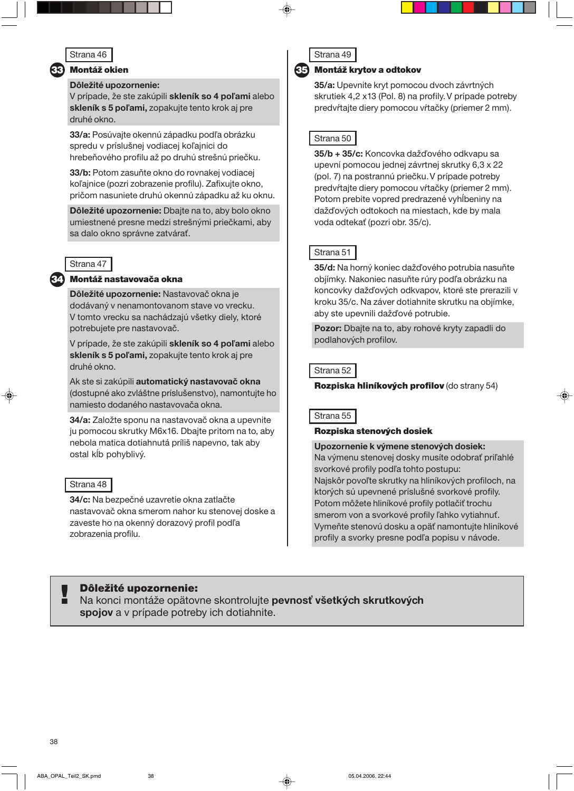#### 33 **Montáž okien**

### **Dôležité upozornenie:**

V prípade, že ste zakúpili **skleník so 4 poľami** alebo **skleník s 5 poľami,** zopakujte tento krok aj pre druhé okno.

**33/a:** Posúvajte okennú západku podľa obrázku spredu v príslušnej vodiacej koľajnici do hrebeňového profilu až po druhú strešnú priečku.

**33/b:** Potom zasuňte okno do rovnakej vodiacej koľajnice (pozri zobrazenie profilu). Zafixujte okno, pričom nasuniete druhú okennú západku až ku oknu.

**Dôležité upozornenie:** Dbajte na to, aby bolo okno umiestnené presne medzi strešnými priečkami, aby sa dalo okno správne zatvárať.

## Strana 47

34

#### **Montáž nastavovača okna**

**Dôležité upozornenie:** Nastavovač okna je dodávaný v nenamontovanom stave vo vrecku. V tomto vrecku sa nachádzajú všetky diely, ktoré potrebujete pre nastavovač.

V prípade, že ste zakúpili **skleník so 4 poľami** alebo **skleník s 5 poľami,** zopakujte tento krok aj pre druhé okno.

Ak ste si zakúpili **automatický nastavovač okna** (dostupné ako zvláštne príslušenstvo), namontujte ho namiesto dodaného nastavovača okna.

**34/a:** Založte sponu na nastavovač okna a upevnite ju pomocou skrutky M6x16. Dbajte pritom na to, aby nebola matica dotiahnutá príliš napevno, tak aby ostal kĺb pohyblivý.

#### Strana 48

**34/c:** Na bezpečné uzavretie okna zatlačte nastavovač okna smerom nahor ku stenovej doske a zaveste ho na okenný dorazový profil podľa zobrazenia profilu.

| $\sim$<br>œ<br>$\sim$ |  |
|-----------------------|--|
|                       |  |

#### 35 **Montáž krytov a odtokov**

**35/a:** Upevnite kryt pomocou dvoch závrtných skrutiek 4,2 x13 (Pol. 8) na profily. V prípade potreby predvŕtajte diery pomocou vŕtačky (priemer 2 mm).

## Strana 50

**35/b + 35/c:** Koncovka dažďového odkvapu sa upevní pomocou jednej závrtnej skrutky 6,3 x 22 (pol. 7) na postrannú priečku. V prípade potreby predvŕtajte diery pomocou vŕtačky (priemer 2 mm). Potom prebite vopred predrazené vyhĺbeniny na dažďových odtokoch na miestach, kde by mala voda odtekať (pozri obr. 35/c).

## Strana 51

**35/d:** Na horný koniec dažďového potrubia nasuňte objímky. Nakoniec nasuňte rúry podľa obrázku na koncovky dažďových odkvapov, ktoré ste prerazili v kroku 35/c. Na záver dotiahnite skrutku na objímke, aby ste upevnili dažďové potrubie.

**Pozor:** Dbajte na to, aby rohové kryty zapadli do podlahových profilov.

#### Strana 52

**Rozpiska hliníkových profilov** (do strany 54)

#### Strana 55

#### **Rozpiska stenových dosiek**

**Upozornenie k výmene stenových dosiek:** Na výmenu stenovej dosky musíte odobrať priľahlé svorkové profily podľa tohto postupu: Najskôr povoľte skrutky na hliníkových profiloch, na ktorých sú upevnené príslušné svorkové profily. Potom môžete hliníkové profily potlačiť trochu smerom von a svorkové profily ľahko vytiahnuť. Vymeňte stenovú dosku a opäť namontujte hliníkové profily a svorky presne podľa popisu v návode.

#### **Dôležité upozornenie:**

Na konci montáže opätovne skontrolujte **pevnosť všetkých skrutkových spojov** a v prípade potreby ich dotiahnite. !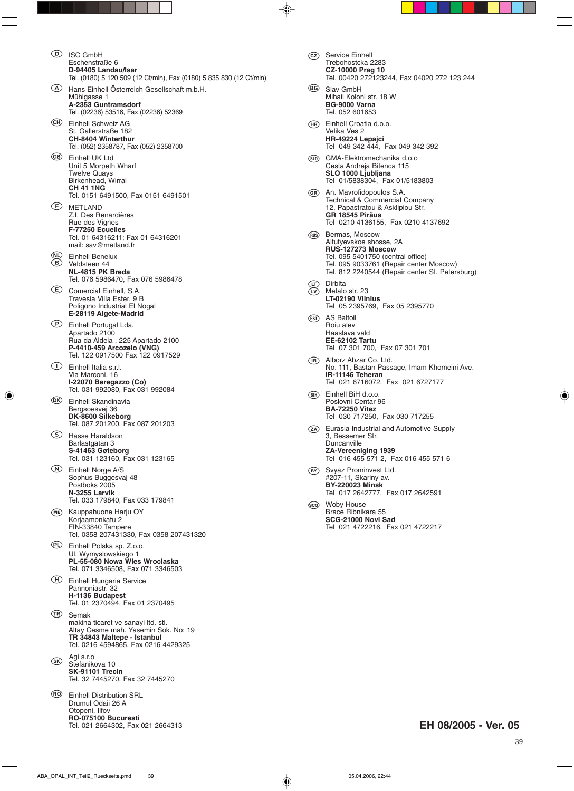- **ISC GmbH** Eschenstraße 6 **D-94405 Landau/Isar** Tel. (0180) 5 120 509 (12 Ct/min), Fax (0180) 5 835 830 (12 Ct/min)
- Hans Einhell Österreich Gesellschaft m.b.H. Mühlgasse 1 **A-2353 Guntramsdorf** Tel. (02236) 53516, Fax (02236) 52369
- Einhell Schweiz AG St. Gallerstraße 182 **CH-8404 Winterthur** Tel. (052) 2358787, Fax (052) 2358700
- Einhell UK Ltd Unit 5 Morpeth Wharf Twelve Quays Birkenhead, Wirral **CH 41 1NG** Tel. 0151 6491500, Fax 0151 6491501
- METLAND Z.I. Des Renardières Rue des Vignes **F-77250 Ecuelles** Tel. 01 64316211; Fax 01 64316201 mail: sav@metland.fr
- (W) Einhell Benelux<br>**B** Veldsteen 44 **NL-4815 PK Breda**  Tel. 076 5986470, Fax 076 5986478
- Comercial Einhell, S.A. Travesia Villa Ester, 9 B Poligono Industrial El Nogal **E-28119 Algete-Madrid**
- Einhell Portugal Lda. Apartado 2100 Rua da Aldeia , 225 Apartado 2100 **P-4410-459 Arcozelo (VNG)** Tel. 122 0917500 Fax 122 0917529
- Einhell Italia s.r.l. Via Marconi, 16 **I-22070 Beregazzo (Co)** Tel. 031 992080, Fax 031 992084
- Einhell Skandinavia Bergsoesvej 36 **DK-8600 Silkeborg** Tel. 087 201200, Fax 087 201203

◈

- Hasse Haraldson Barlastgatan 3 **S-41463 Gøteborg** Tel. 031 123160, Fax 031 123165
- Einhell Norge A/S Sophus Buggesvaj 48 Postboks 2005 **N-3255 Larvik** Tel. 033 179840, Fax 033 179841
- Kauppahuone Harju OY Korjaamonkatu 2 FIN-33840 Tampere Tel. 0358 207431330, Fax 0358 207431320
- Einhell Polska sp. Z.o.o. Ul. Wymyslowskiego 1 **PL-55-080 Nowa Wies Wroclaska** Tel. 071 3346508, Fax 071 3346503
- Einhell Hungaria Service Pannoniastr. 32 **H-1136 Budapest** Tel. 01 2370494, Fax 01 2370495
- Semak makina ticaret ve sanayi ltd. sti. Altay Cesme mah. Yasemin Sok. No: 19 **TR 34843 Maltepe - Istanbul** Tel. 0216 4594865, Fax 0216 4429325
- $(SK)$  Agi s.r.o Stefanikova 10 **SK-91101 Trecin** Tel. 32 7445270, Fax 32 7445270
- Einhell Distribution SRL Drumul Odaii 26 A Otopeni, Ilfov **RO-075100 Bucuresti** Tel. 021 2664302, Fax 021 2664313
- Service Einhell Trebohostcka 2283 **CZ**-**10000 Prag 10** Tel. 00420 272123244, Fax 04020 272 123 244
- **BG** Slav GmbH Mihail Koloni str. 18 W **BG-9000 Varna** Tel. 052 601653
- Einhell Croatia d.o.o. Velika Ves 2 **HR-49224 Lepajci** Tel 049 342 444, Fax 049 342 392
- GMA-Elektromechanika d.o.o Cesta Andreja Bitenca 115 **SLO 1000 Ljubljana** Tel 01/5838304, Fax 01/5183803
- An. Mavrofidopoulos S.A. Technical & Commercial Company 12, Papastratou & Asklipiou Str. **GR 18545 Piräus** Tel 0210 4136155, Fax 0210 4137692
- (RUS) Bermas, Moscow Altufyevskoe shosse, 2A **RUS-127273 Moscow** Tel. 095 5401750 (central office) Tel. 095 9033761 (Repair center Moscow) Tel. 812 2240544 (Repair center St. Petersburg)
- CD Dirbita Metalo str. 23 **LT-02190 Vilnius** Tel 05 2395769, Fax 05 2395770
- AS Baltoil Roiu alev Haaslava vald **EE-62102 Tartu** Tel 07 301 700, Fax 07 301 701
- Alborz Abzar Co. Ltd. No. 111, Bastan Passage, Imam Khomeini Ave. **IR-11146 Teheran** Tel 021 6716072, Fax 021 6727177
- Einhell BiH d.o.o. Poslovni Centar 96 **BA-72250 Vitez** Tel 030 717250, Fax 030 717255
- Eurasia Industrial and Automotive Supply 3, Bessemer Str. Duncanville **ZA-Vereeniging 1939** Tel 016 455 571 2, Fax 016 455 571 6
- **EY** Svyaz Prominvest Ltd.<br>#207-11, Skariny av. **BY-220023 Minsk** Tel 017 2642777, Fax 017 2642591
- 1 Woby House Brace Ribnikara 55 **SCG-21000 Novi Sad** Tel 021 4722216, Fax 021 4722217 SCG

## **EH 08/2005 - Ver. 05**